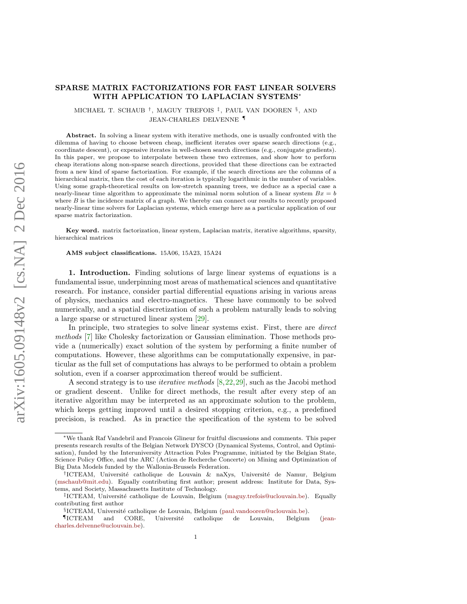# SPARSE MATRIX FACTORIZATIONS FOR FAST LINEAR SOLVERS WITH APPLICATION TO LAPLACIAN SYSTEMS<sup>∗</sup>

MICHAEL T. SCHAUB † , MAGUY TREFOIS ‡ , PAUL VAN DOOREN § , AND JEAN-CHARLES DELVENNE ¶

Abstract. In solving a linear system with iterative methods, one is usually confronted with the dilemma of having to choose between cheap, inefficient iterates over sparse search directions (e.g., coordinate descent), or expensive iterates in well-chosen search directions (e.g., conjugate gradients). In this paper, we propose to interpolate between these two extremes, and show how to perform cheap iterations along non-sparse search directions, provided that these directions can be extracted from a new kind of sparse factorization. For example, if the search directions are the columns of a hierarchical matrix, then the cost of each iteration is typically logarithmic in the number of variables. Using some graph-theoretical results on low-stretch spanning trees, we deduce as a special case a nearly-linear time algorithm to approximate the minimal norm solution of a linear system  $Bx = b$ where  $B$  is the incidence matrix of a graph. We thereby can connect our results to recently proposed nearly-linear time solvers for Laplacian systems, which emerge here as a particular application of our sparse matrix factorization.

Key word. matrix factorization, linear system, Laplacian matrix, iterative algorithms, sparsity, hierarchical matrices

AMS subject classifications. 15A06, 15A23, 15A24

1. Introduction. Finding solutions of large linear systems of equations is a fundamental issue, underpinning most areas of mathematical sciences and quantitative research. For instance, consider partial differential equations arising in various areas of physics, mechanics and electro-magnetics. These have commonly to be solved numerically, and a spatial discretization of such a problem naturally leads to solving a large sparse or structured linear system [\[29\]](#page-19-0).

In principle, two strategies to solve linear systems exist. First, there are *direct* methods [\[7\]](#page-18-0) like Cholesky factorization or Gaussian elimination. Those methods provide a (numerically) exact solution of the system by performing a finite number of computations. However, these algorithms can be computationally expensive, in particular as the full set of computations has always to be performed to obtain a problem solution, even if a coarser approximation thereof would be sufficient.

A second strategy is to use iterative methods [\[8,](#page-18-1)[22,](#page-18-2)[29\]](#page-19-0), such as the Jacobi method or gradient descent. Unlike for direct methods, the result after every step of an iterative algorithm may be interpreted as an approximate solution to the problem, which keeps getting improved until a desired stopping criterion, e.g., a predefined precision, is reached. As in practice the specification of the system to be solved

<sup>∗</sup>We thank Raf Vandebril and Francois Glineur for fruitful discussions and comments. This paper presents research results of the Belgian Network DYSCO (Dynamical Systems, Control, and Optimisation), funded by the Interuniversity Attraction Poles Programme, initiated by the Belgian State, Science Policy Office, and the ARC (Action de Recherche Concerte) on Mining and Optimization of Big Data Models funded by the Wallonia-Brussels Federation.

<sup>&</sup>lt;sup>†</sup>ICTEAM, Université catholique de Louvain & naXys, Université de Namur, Belgium [\(mschaub@mit.edu\)](mailto:mschaub@mit.edu). Equally contributing first author; present address: Institute for Data, Systems, and Society, Massachusetts Institute of Technology.

<sup>&</sup>lt;sup>‡</sup>ICTEAM, Université catholique de Louvain, Belgium [\(maguy.trefois@uclouvain.be\)](mailto:maguy.trefois@uclouvain.be). Equally contributing first author

<sup>§</sup>ICTEAM, Université catholique de Louvain, Belgium [\(paul.vandooren@uclouvain.be\)](mailto:paul.vandooren@uclouvain.be).

<sup>¶</sup>ICTEAM and CORE, Universit´e catholique de Louvain, Belgium [\(jean](mailto:jean-charles.delvenne@uclouvain.be)[charles.delvenne@uclouvain.be\)](mailto:jean-charles.delvenne@uclouvain.be).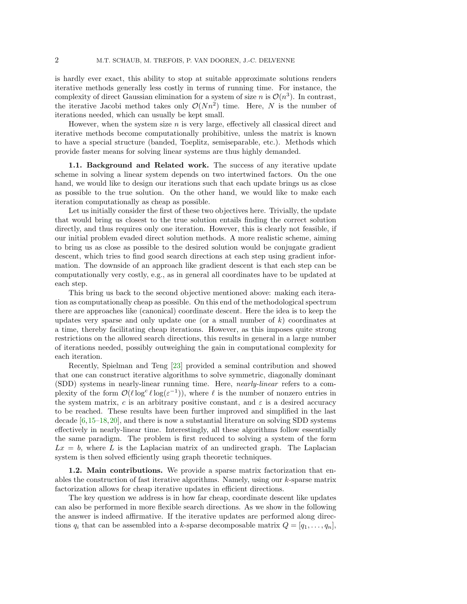is hardly ever exact, this ability to stop at suitable approximate solutions renders iterative methods generally less costly in terms of running time. For instance, the complexity of direct Gaussian elimination for a system of size n is  $\mathcal{O}(n^3)$ . In contrast, the iterative Jacobi method takes only  $\mathcal{O}(Nn^2)$  time. Here, N is the number of iterations needed, which can usually be kept small.

However, when the system size  $n$  is very large, effectively all classical direct and iterative methods become computationally prohibitive, unless the matrix is known to have a special structure (banded, Toeplitz, semiseparable, etc.). Methods which provide faster means for solving linear systems are thus highly demanded.

1.1. Background and Related work. The success of any iterative update scheme in solving a linear system depends on two intertwined factors. On the one hand, we would like to design our iterations such that each update brings us as close as possible to the true solution. On the other hand, we would like to make each iteration computationally as cheap as possible.

Let us initially consider the first of these two objectives here. Trivially, the update that would bring us closest to the true solution entails finding the correct solution directly, and thus requires only one iteration. However, this is clearly not feasible, if our initial problem evaded direct solution methods. A more realistic scheme, aiming to bring us as close as possible to the desired solution would be conjugate gradient descent, which tries to find good search directions at each step using gradient information. The downside of an approach like gradient descent is that each step can be computationally very costly, e.g., as in general all coordinates have to be updated at each step.

This bring us back to the second objective mentioned above: making each iteration as computationally cheap as possible. On this end of the methodological spectrum there are approaches like (canonical) coordinate descent. Here the idea is to keep the updates very sparse and only update one (or a small number of  $k$ ) coordinates at a time, thereby facilitating cheap iterations. However, as this imposes quite strong restrictions on the allowed search directions, this results in general in a large number of iterations needed, possibly outweighing the gain in computational complexity for each iteration.

Recently, Spielman and Teng [\[23\]](#page-18-3) provided a seminal contribution and showed that one can construct iterative algorithms to solve symmetric, diagonally dominant (SDD) systems in nearly-linear running time. Here, nearly-linear refers to a complexity of the form  $\mathcal{O}(\ell \log^c \ell \log(\varepsilon^{-1}))$ , where  $\ell$  is the number of nonzero entries in the system matrix, c is an arbitrary positive constant, and  $\varepsilon$  is a desired accuracy to be reached. These results have been further improved and simplified in the last decade [\[6,](#page-18-4)[15](#page-18-5)[–18,](#page-18-6)[20\]](#page-18-7), and there is now a substantial literature on solving SDD systems effectively in nearly-linear time. Interestingly, all these algorithms follow essentially the same paradigm. The problem is first reduced to solving a system of the form  $Lx = b$ , where L is the Laplacian matrix of an undirected graph. The Laplacian system is then solved efficiently using graph theoretic techniques.

1.2. Main contributions. We provide a sparse matrix factorization that enables the construction of fast iterative algorithms. Namely, using our k-sparse matrix factorization allows for cheap iterative updates in efficient directions.

The key question we address is in how far cheap, coordinate descent like updates can also be performed in more flexible search directions. As we show in the following the answer is indeed affirmative. If the iterative updates are performed along directions  $q_i$  that can be assembled into a k-sparse decomposable matrix  $Q = [q_1, \ldots, q_n]$ ,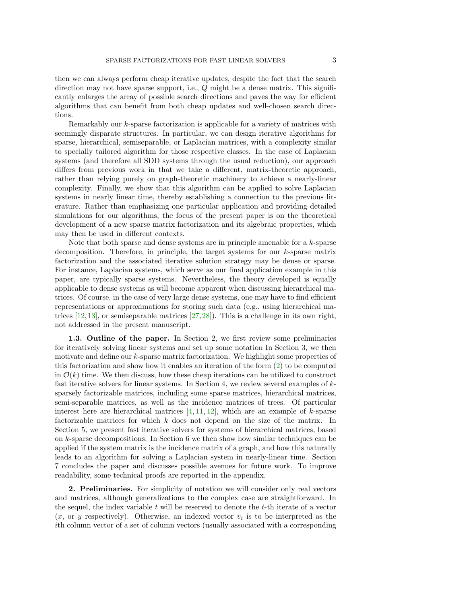then we can always perform cheap iterative updates, despite the fact that the search direction may not have sparse support, i.e.,  $Q$  might be a dense matrix. This significantly enlarges the array of possible search directions and paves the way for efficient algorithms that can benefit from both cheap updates and well-chosen search directions.

Remarkably our k-sparse factorization is applicable for a variety of matrices with seemingly disparate structures. In particular, we can design iterative algorithms for sparse, hierarchical, semiseparable, or Laplacian matrices, with a complexity similar to specially tailored algorithm for those respective classes. In the case of Laplacian systems (and therefore all SDD systems through the usual reduction), our approach differs from previous work in that we take a different, matrix-theoretic approach, rather than relying purely on graph-theoretic machinery to achieve a nearly-linear complexity. Finally, we show that this algorithm can be applied to solve Laplacian systems in nearly linear time, thereby establishing a connection to the previous literature. Rather than emphasizing one particular application and providing detailed simulations for our algorithms, the focus of the present paper is on the theoretical development of a new sparse matrix factorization and its algebraic properties, which may then be used in different contexts.

Note that both sparse and dense systems are in principle amenable for a  $k$ -sparse decomposition. Therefore, in principle, the target systems for our k-sparse matrix factorization and the associated iterative solution strategy may be dense or sparse. For instance, Laplacian systems, which serve as our final application example in this paper, are typically sparse systems. Nevertheless, the theory developed is equally applicable to dense systems as will become apparent when discussing hierarchical matrices. Of course, in the case of very large dense systems, one may have to find efficient representations or approximations for storing such data (e.g., using hierarchical matrices  $[12,13]$  $[12,13]$ , or semiseparable matrices  $[27,28]$  $[27,28]$ ). This is a challenge in its own right, not addressed in the present manuscript.

1.3. Outline of the paper. In Section 2, we first review some preliminaries for iteratively solving linear systems and set up some notation In Section 3, we then motivate and define our k-sparse matrix factorization. We highlight some properties of this factorization and show how it enables an iteration of the form [\(2\)](#page-3-0) to be computed in  $\mathcal{O}(k)$  time. We then discuss, how these cheap iterations can be utilized to construct fast iterative solvers for linear systems. In Section 4, we review several examples of ksparsely factorizable matrices, including some sparse matrices, hierarchical matrices, semi-separable matrices, as well as the incidence matrices of trees. Of particular interest here are hierarchical matrices  $[4, 11, 12]$  $[4, 11, 12]$  $[4, 11, 12]$  $[4, 11, 12]$  $[4, 11, 12]$ , which are an example of k-sparse factorizable matrices for which k does not depend on the size of the matrix. In Section 5, we present fast iterative solvers for systems of hierarchical matrices, based on k-sparse decompositions. In Section 6 we then show how similar techniques can be applied if the system matrix is the incidence matrix of a graph, and how this naturally leads to an algorithm for solving a Laplacian system in nearly-linear time. Section 7 concludes the paper and discusses possible avenues for future work. To improve readability, some technical proofs are reported in the appendix.

<span id="page-2-0"></span>2. Preliminaries. For simplicity of notation we will consider only real vectors and matrices, although generalizations to the complex case are straightforward. In the sequel, the index variable  $t$  will be reserved to denote the  $t$ -th iterate of a vector  $(x, \text{ or } y \text{ respectively})$ . Otherwise, an indexed vector  $v_i$  is to be interpreted as the ith column vector of a set of column vectors (usually associated with a corresponding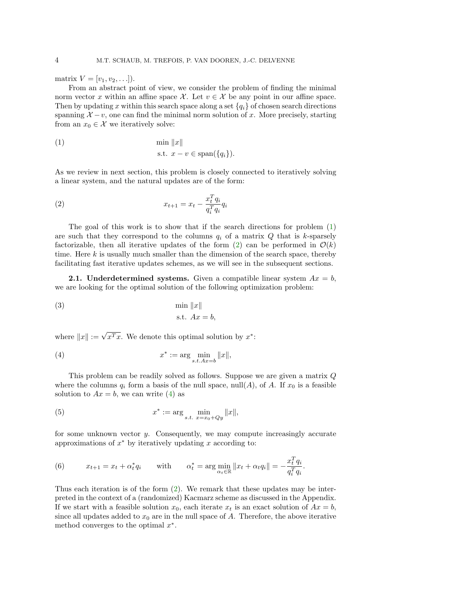matrix  $V = [v_1, v_2, \ldots]$ .

From an abstract point of view, we consider the problem of finding the minimal norm vector x within an affine space  $\mathcal{X}$ . Let  $v \in \mathcal{X}$  be any point in our affine space. Then by updating x within this search space along a set  $\{q_i\}$  of chosen search directions spanning  $X - v$ , one can find the minimal norm solution of x. More precisely, starting from an  $x_0 \in \mathcal{X}$  we iteratively solve:

<span id="page-3-1"></span>
$$
(1) \quad \min \|x\|
$$

<span id="page-3-0"></span>
$$
s.t. \ x - v \in \text{span}(\{q_i\}).
$$

As we review in next section, this problem is closely connected to iteratively solving a linear system, and the natural updates are of the form:

(2) 
$$
x_{t+1} = x_t - \frac{x_t^T q_i}{q_i^T q_i} q_i
$$

The goal of this work is to show that if the search directions for problem [\(1\)](#page-3-1) are such that they correspond to the columns  $q_i$  of a matrix  $Q$  that is k-sparsely factorizable, then all iterative updates of the form [\(2\)](#page-3-0) can be performed in  $\mathcal{O}(k)$ time. Here  $k$  is usually much smaller than the dimension of the search space, thereby facilitating fast iterative updates schemes, as we will see in the subsequent sections.

**2.1.** Underdetermined systems. Given a compatible linear system  $Ax = b$ , we are looking for the optimal solution of the following optimization problem:

(3) 
$$
\min \|x\|
$$
  
s.t.  $Ax = b$ ,

where  $||x|| := \sqrt{x^T x}$ . We denote this optimal solution by  $x^*$ :

<span id="page-3-2"></span>(4) 
$$
x^* := \arg \min_{s.t. Ax = b} ||x||,
$$

This problem can be readily solved as follows. Suppose we are given a matrix Q where the columns  $q_i$  form a basis of the null space, null(A), of A. If  $x_0$  is a feasible solution to  $Ax = b$ , we can write [\(4\)](#page-3-2) as

<span id="page-3-3"></span>(5) 
$$
x^* := \arg\min_{s.t. \ x = x_0 + Qy} ||x||,
$$

for some unknown vector y. Consequently, we may compute increasingly accurate approximations of  $x^*$  by iteratively updating x according to:

(6) 
$$
x_{t+1} = x_t + \alpha_t^* q_i
$$
 with  $\alpha_t^* = \arg \min_{\alpha_t \in \mathbb{R}} ||x_t + \alpha_t q_i|| = -\frac{x_t^T q_i}{q_i^T q_i}.$ 

Thus each iteration is of the form  $(2)$ . We remark that these updates may be interpreted in the context of a (randomized) Kacmarz scheme as discussed in the Appendix. If we start with a feasible solution  $x_0$ , each iterate  $x_t$  is an exact solution of  $Ax = b$ , since all updates added to  $x_0$  are in the null space of A. Therefore, the above iterative method converges to the optimal  $x^*$ .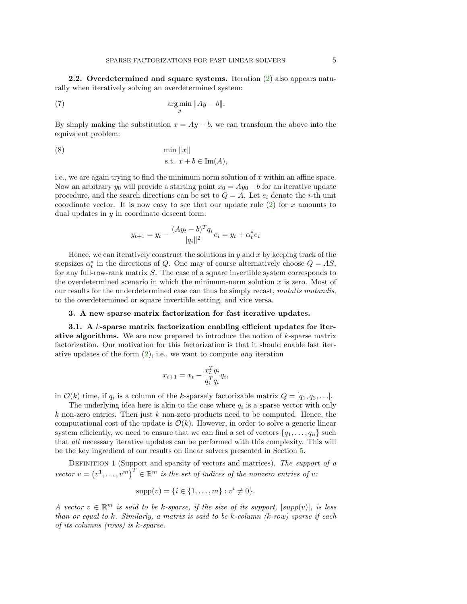<span id="page-4-0"></span>2.2. Overdetermined and square systems. Iteration [\(2\)](#page-3-0) also appears naturally when iteratively solving an overdetermined system:

(7) 
$$
\argmin_{y} \|Ay - b\|.
$$

By simply making the substitution  $x = Ay - b$ , we can transform the above into the equivalent problem:

(8) 
$$
\min ||x||
$$
  
s.t.  $x + b \in \text{Im}(A)$ ,

i.e., we are again trying to find the minimum norm solution of  $x$  within an affine space. Now an arbitrary  $y_0$  will provide a starting point  $x_0 = Ay_0 - b$  for an iterative update procedure, and the search directions can be set to  $Q = A$ . Let  $e_i$  denote the *i*-th unit coordinate vector. It is now easy to see that our update rule  $(2)$  for x amounts to dual updates in  $y$  in coordinate descent form:

$$
y_{t+1} = y_t - \frac{(Ay_t - b)^T q_i}{\|q_i\|^2} e_i = y_t + \alpha_t^* e_i
$$

Hence, we can iteratively construct the solutions in  $y$  and  $x$  by keeping track of the stepsizes  $\alpha_t^*$  in the directions of Q. One may of course alternatively choose  $Q = AS$ , for any full-row-rank matrix S. The case of a square invertible system corresponds to the overdetermined scenario in which the minimum-norm solution  $x$  is zero. Most of our results for the underdetermined case can thus be simply recast, mutatis mutandis, to the overdetermined or square invertible setting, and vice versa.

#### 3. A new sparse matrix factorization for fast iterative updates.

3.1. A  $k$ -sparse matrix factorization enabling efficient updates for iterative algorithms. We are now prepared to introduce the notion of k-sparse matrix factorization. Our motivation for this factorization is that it should enable fast iterative updates of the form  $(2)$ , i.e., we want to compute *any* iteration

$$
x_{t+1} = x_t - \frac{x_t^T q_i}{q_i^T q_i} q_i,
$$

in  $\mathcal{O}(k)$  time, if  $q_i$  is a column of the k-sparsely factorizable matrix  $Q = [q_1, q_2, \ldots]$ .

The underlying idea here is akin to the case where  $q_i$  is a sparse vector with only  $k$  non-zero entries. Then just  $k$  non-zero products need to be computed. Hence, the computational cost of the update is  $\mathcal{O}(k)$ . However, in order to solve a generic linear system efficiently, we need to ensure that we can find a set of vectors  $\{q_1, \ldots, q_n\}$  such that all necessary iterative updates can be performed with this complexity. This will be the key ingredient of our results on linear solvers presented in Section [5.](#page-13-0)

DEFINITION 1 (Support and sparsity of vectors and matrices). The support of  $a$ vector  $v = (v^1, \ldots, v^m)^T \in \mathbb{R}^m$  is the set of indices of the nonzero entries of v:

$$
supp(v) = \{i \in \{1, \ldots, m\} : v^i \neq 0\}.
$$

A vector  $v \in \mathbb{R}^m$  is said to be k-sparse, if the size of its support,  $|supp(v)|$ , is less than or equal to k. Similarly, a matrix is said to be  $k$ -column  $(k$ -row) sparse if each of its columns (rows) is k-sparse.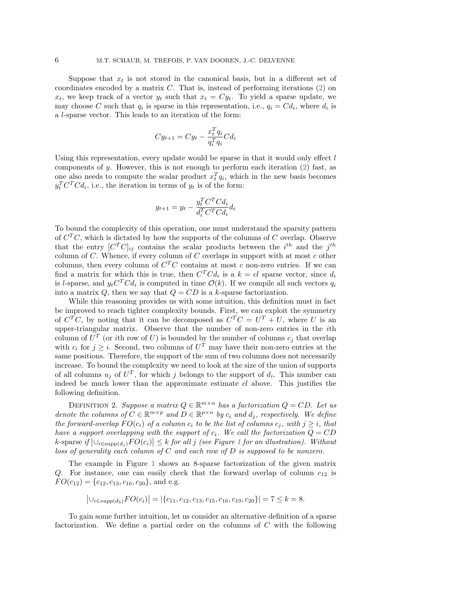Suppose that  $x_t$  is not stored in the canonical basis, but in a different set of coordinates encoded by a matrix C. That is, instead of performing iterations [\(2\)](#page-3-0) on  $x_t$ , we keep track of a vector  $y_t$  such that  $x_t = Cy_t$ . To yield a sparse update, we may choose C such that  $q_i$  is sparse in this representation, i.e.,  $q_i = Cd_i$ , where  $d_i$  is a l-sparse vector. This leads to an iteration of the form:

$$
Cy_{t+1} = Cy_t - \frac{x_t^T q_i}{q_i^T q_i} Cd_i
$$

Using this representation, every update would be sparse in that it would only effect  $l$ components of  $y$ . However, this is not enough to perform each iteration  $(2)$  fast, as one also needs to compute the scalar product  $x_i^T q_i$ , which in the new basis becomes  $y_t^T C^T C d_i$ , i.e., the iteration in terms of  $y_t$  is of the form:

$$
y_{t+1} = y_t - \frac{y_t^T C^T C d_i}{d_i^T C^T C d_i} d_i
$$

To bound the complexity of this operation, one must understand the sparsity pattern of  $C<sup>T</sup>C$ , which is dictated by how the supports of the columns of C overlap. Observe that the entry  $[C^T C]_{ij}$  contains the scalar products between the i<sup>th</sup> and the j<sup>th</sup> column of  $C$ . Whence, if every column of  $C$  overlaps in support with at most  $c$  other columns, then every column of  $C^T C$  contains at most c non-zero entries. If we can find a matrix for which this is true, then  $C<sup>T</sup> C d_i$  is a  $k = cl$  sparse vector, since  $d_i$ is l-sparse, and  $y_t C^T C d_i$  is computed in time  $\mathcal{O}(k)$ . If we compile all such vectors  $q_i$ into a matrix  $Q$ , then we say that  $Q = CD$  is a k-sparse factorization.

While this reasoning provides us with some intuition, this definition must in fact be improved to reach tighter complexity bounds. First, we can exploit the symmetry of  $C^T C$ , by noting that it can be decomposed as  $C^T C = U^T + U$ , where U is an upper-triangular matrix. Observe that the number of non-zero entries in the ith column of  $U^T$  (or *i*th row of U) is bounded by the number of columns  $c_j$  that overlap with  $c_i$  for  $j \geq i$ . Second, two columns of  $U^T$  may have their non-zero entries at the same positions. Therefore, the support of the sum of two columns does not necessarily increase. To bound the complexity we need to look at the size of the union of supports of all columns  $u_j$  of  $U^T$ , for which j belongs to the support of  $d_i$ . This number can indeed be much lower than the approximate estimate  $cl$  above. This justifies the following definition.

DEFINITION 2. Suppose a matrix  $Q \in \mathbb{R}^{m \times n}$  has a factorization  $Q = CD$ . Let us denote the columns of  $C \in \mathbb{R}^{m \times p}$  and  $D \in \mathbb{R}^{p \times n}$  by  $c_i$  and  $d_j$ , respectively. We define the forward-overlap  $FO(c_i)$  of a column  $c_i$  to be the list of columns  $c_j$ , with  $j \geq i$ , that have a support overlapping with the support of  $c_i$ . We call the factorization  $Q = CD$ k-sparse if  $|\bigcup_{i \in \text{supp}(d_j)} FO(c_i)| \leq k$  for all j (see Figure [1](#page-6-0) for an illustration). Without loss of generality each column of  $C$  and each row of  $D$  is supposed to be nonzero.

The example in Figure [1](#page-6-0) shows an 8-sparse factorization of the given matrix Q. For instance, one can easily check that the forward overlap of column  $c_{12}$  is  $FO(c_{12}) = \{c_{12}, c_{13}, c_{16}, c_{20}\}, \text{ and e.g.}$ 

$$
\left|\bigcup_{i \in \text{supp}(d_5)} FO(c_i)\right| = \left|\{c_{11}, c_{12}, c_{13}, c_{15}, c_{16}, c_{19}, c_{20}\}\right| = 7 \le k = 8.
$$

To gain some further intuition, let us consider an alternative definition of a sparse factorization. We define a partial order on the columns of C with the following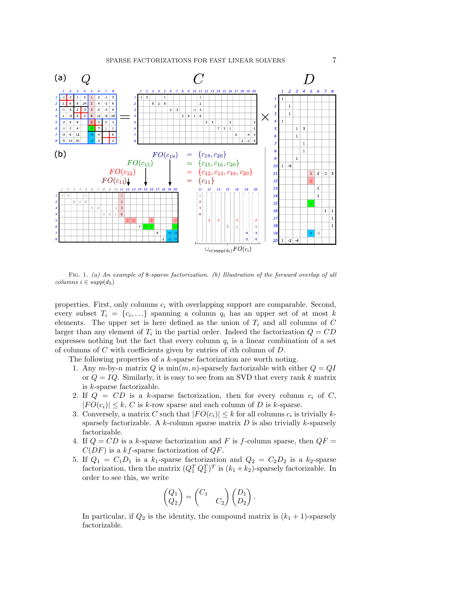<span id="page-6-0"></span>

Fig. 1. (a) An example of 8-sparse factorization. (b) Illustration of the forward overlap of all columns  $i \in supp(d_5)$ 

properties. First, only columns  $c_i$  with overlapping support are comparable. Second, every subset  $T_i = \{c_i, \ldots\}$  spanning a column  $q_i$  has an upper set of at most k elements. The upper set is here defined as the union of  $T_i$  and all columns of  $C$ larger than any element of  $T_i$  in the partial order. Indeed the factorization  $Q = CD$ expresses nothing but the fact that every column  $q_i$  is a linear combination of a set of columns of C with coefficients given by entries of ith column of  $D$ .

The following properties of a k-sparse factorization are worth noting.

- 1. Any m-by-n matrix Q is  $\min(m, n)$ -sparsely factorizable with either  $Q = QI$ or  $Q = IQ$ . Similarly, it is easy to see from an SVD that every rank k matrix is k-sparse factorizable.
- <span id="page-6-1"></span>2. If  $Q = CD$  is a k-sparse factorization, then for every column  $c_i$  of C,  $|FO(c_i)| \leq k$ , C is k-row sparse and each column of D is k-sparse.
- 3. Conversely, a matrix C such that  $|FO(c_i)| \leq k$  for all columns  $c_i$  is trivially ksparsely factorizable. A  $k$ -column sparse matrix  $D$  is also trivially  $k$ -sparsely factorizable.
- 4. If  $Q = CD$  is a k-sparse factorization and F is f-column sparse, then  $QF =$  $C(DF)$  is a kf-sparse factorization of  $QF$ .
- 5. If  $Q_1 = C_1D_1$  is a  $k_1$ -sparse factorization and  $Q_2 = C_2D_2$  is a  $k_2$ -sparse factorization, then the matrix  $(Q_1^T Q_2^T)^T$  is  $(k_1 + k_2)$ -sparsely factorizable. In order to see this, we write

$$
\begin{pmatrix} Q_1 \\ Q_2 \end{pmatrix} = \begin{pmatrix} C_1 & \\ & C_2 \end{pmatrix} \begin{pmatrix} D_1 \\ D_2 \end{pmatrix}.
$$

In particular, if  $Q_2$  is the identity, the compound matrix is  $(k_1 + 1)$ -sparsely factorizable.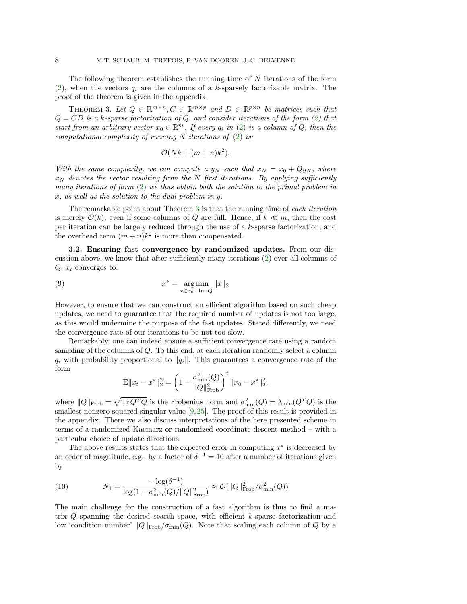The following theorem establishes the running time of  $N$  iterations of the form  $(2)$ , when the vectors  $q_i$  are the columns of a k-sparsely factorizable matrix. The proof of the theorem is given in the appendix.

THEOREM 3. Let  $Q \in \mathbb{R}^{m \times n}$ ,  $C \in \mathbb{R}^{m \times p}$  and  $D \in \mathbb{R}^{p \times n}$  be matrices such that  $Q = CD$  is a k-sparse factorization of Q, and consider iterations of the form [\(2\)](#page-3-0) that start from an arbitrary vector  $x_0 \in \mathbb{R}^m$ . If every  $q_i$  in [\(2\)](#page-3-0) is a column of Q, then the computational complexity of running  $N$  iterations of  $(2)$  is:

<span id="page-7-0"></span>
$$
\mathcal{O}(Nk + (m+n)k^2).
$$

With the same complexity, we can compute a  $y_N$  such that  $x_N = x_0 + Qy_N$ , where  $x_N$  denotes the vector resulting from the N first iterations. By applying sufficiently many iterations of form [\(2\)](#page-3-0) we thus obtain both the solution to the primal problem in x, as well as the solution to the dual problem in y.

The remarkable point about Theorem [3](#page-7-0) is that the running time of each iteration is merely  $\mathcal{O}(k)$ , even if some columns of Q are full. Hence, if  $k \ll m$ , then the cost per iteration can be largely reduced through the use of a k-sparse factorization, and the overhead term  $(m+n)k^2$  is more than compensated.

3.2. Ensuring fast convergence by randomized updates. From our discussion above, we know that after sufficiently many iterations [\(2\)](#page-3-0) over all columns of  $Q, x_t$  converges to:

(9) 
$$
x^* = \underset{x \in x_0 + \text{Im } Q}{\arg \min} ||x||_2
$$

However, to ensure that we can construct an efficient algorithm based on such cheap updates, we need to guarantee that the required number of updates is not too large, as this would undermine the purpose of the fast updates. Stated differently, we need the convergence rate of our iterations to be not too slow.

Remarkably, one can indeed ensure a sufficient convergence rate using a random sampling of the columns of Q. To this end, at each iteration randomly select a column  $q_i$  with probability proportional to  $||q_i||$ . This guarantees a convergence rate of the form

$$
\mathbb{E} \|x_t - x^*\|_2^2 = \left(1 - \frac{\sigma_{\min}^2(Q)}{\|Q\|_{\text{Frob}}^2}\right)^t \|x_0 - x^*\|_2^2,
$$

where  $||Q||_{\text{Frob}} = \sqrt{\text{Tr }Q^TQ}$  is the Frobenius norm and  $\sigma_{\min}^2(Q) = \lambda_{\min}(Q^TQ)$  is the smallest nonzero squared singular value  $[9,25]$  $[9,25]$ . The proof of this result is provided in the appendix. There we also discuss interpretations of the here presented scheme in terms of a randomized Kacmarz or randomized coordinate descent method – with a particular choice of update directions.

The above results states that the expected error in computing  $x^*$  is decreased by an order of magnitude, e.g., by a factor of  $\delta^{-1} = 10$  after a number of iterations given by

(10) 
$$
N_1 = \frac{-\log(\delta^{-1})}{\log(1 - \sigma_{\min}^2(Q)/||Q||_{\text{Frob}}^2)} \approx \mathcal{O}(||Q||_{\text{Frob}}^2/\sigma_{\min}^2(Q))
$$

The main challenge for the construction of a fast algorithm is thus to find a matrix Q spanning the desired search space, with efficient k-sparse factorization and low 'condition number'  $||Q||_{\text{Frob}}/\sigma_{\text{min}}(Q)$ . Note that scaling each column of Q by a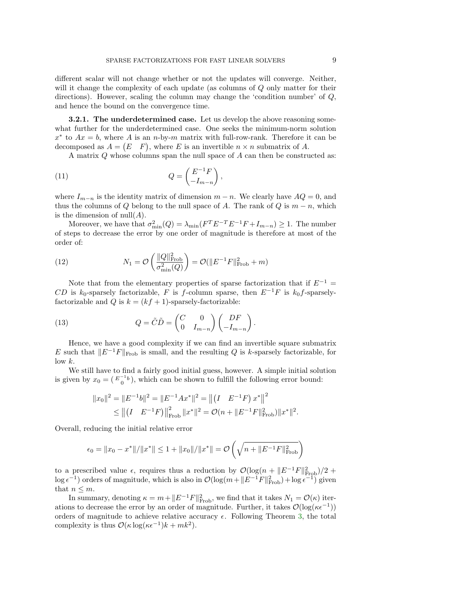different scalar will not change whether or not the updates will converge. Neither, will it change the complexity of each update (as columns of Q only matter for their directions). However, scaling the column may change the 'condition number' of  $Q$ , and hence the bound on the convergence time.

<span id="page-8-2"></span>**3.2.1.** The underdetermined case. Let us develop the above reasoning somewhat further for the underdetermined case. One seeks the minimum-norm solution  $x^*$  to  $Ax = b$ , where A is an n-by-m matrix with full-row-rank. Therefore it can be decomposed as  $A = (E \ F)$ , where E is an invertible  $n \times n$  submatrix of A.

<span id="page-8-0"></span>A matrix Q whose columns span the null space of A can then be constructed as:

$$
(11) \tQ = \begin{pmatrix} E^{-1}F \\ -I_{m-n} \end{pmatrix},
$$

where  $I_{m-n}$  is the identity matrix of dimension  $m-n$ . We clearly have  $AQ = 0$ , and thus the columns of Q belong to the null space of A. The rank of Q is  $m - n$ , which is the dimension of  $null(A)$ .

Moreover, we have that  $\sigma_{\min}^2(Q) = \lambda_{\min}(F^T E^{-T} E^{-1} F + I_{m-n}) \ge 1$ . The number of steps to decrease the error by one order of magnitude is therefore at most of the order of:

(12) 
$$
N_1 = \mathcal{O}\left(\frac{\|Q\|_{\text{Frob}}^2}{\sigma_{\min}^2(Q)}\right) = \mathcal{O}(\|E^{-1}F\|_{\text{Frob}}^2 + m)
$$

Note that from the elementary properties of sparse factorization that if  $E^{-1}$  = CD is k<sub>0</sub>-sparsely factorizable, F is f-column sparse, then  $E^{-1}F$  is k<sub>0</sub>f-sparselyfactorizable and Q is  $k = (kf + 1)$ -sparsely-factorizable:

<span id="page-8-1"></span>(13) 
$$
Q = \tilde{C}\tilde{D} = \begin{pmatrix} C & 0 \\ 0 & I_{m-n} \end{pmatrix} \begin{pmatrix} DF \\ -I_{m-n} \end{pmatrix}.
$$

Hence, we have a good complexity if we can find an invertible square submatrix E such that  $||E^{-1}F||_{\text{Frob}}$  is small, and the resulting Q is k-sparsely factorizable, for  $low k.$ 

We still have to find a fairly good initial guess, however. A simple initial solution is given by  $x_0 = (E_0^{-1}b)$ , which can be shown to fulfill the following error bound:

$$
||x_0||^2 = ||E^{-1}b||^2 = ||E^{-1}Ax^*||^2 = ||(I - E^{-1}F)x^*||^2
$$
  
\n
$$
\le ||(I - E^{-1}F)||_{\text{Frob}}^2 ||x^*||^2 = \mathcal{O}(n + ||E^{-1}F||_{\text{Frob}}^2) ||x^*||^2.
$$

Overall, reducing the initial relative error

$$
\epsilon_0 = ||x_0 - x^*|| / ||x^*|| \le 1 + ||x_0|| / ||x^*|| = \mathcal{O}\left(\sqrt{n + ||E^{-1}F||_{\text{Frob}}^2}\right)
$$

to a prescribed value  $\epsilon$ , requires thus a reduction by  $\mathcal{O}(\log(n + ||E^{-1}F||_{\text{Frob}}^2)/2 +$ log  $\epsilon^{-1}$ ) orders of magnitude, which is also in  $\mathcal{O}(\log(m + ||E^{-1}F||_{\text{Frob}}^2) + \log \epsilon^{-1})$  given that  $n \leq m$ .

In summary, denoting  $\kappa = m + ||E^{-1}F||_{\text{Frob}}^2$ , we find that it takes  $N_1 = \mathcal{O}(\kappa)$  iterations to decrease the error by an order of magnitude. Further, it takes  $\mathcal{O}(\log(\kappa\epsilon^{-1}))$ orders of magnitude to achieve relative accuracy  $\epsilon$ . Following Theorem [3,](#page-7-0) the total complexity is thus  $\mathcal{O}(\kappa \log(\kappa \epsilon^{-1})k + mk^2)$ .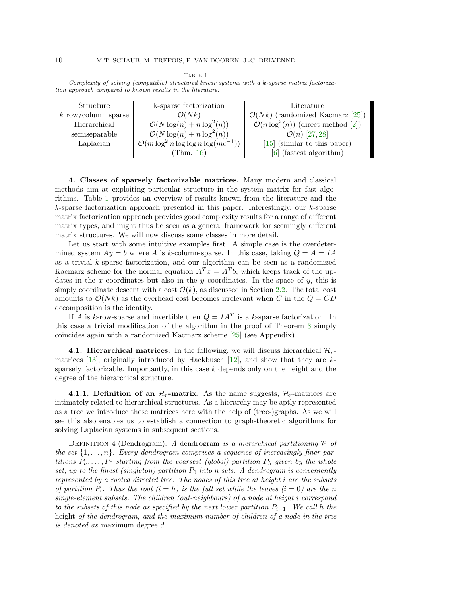TABLE 1

<span id="page-9-0"></span>Complexity of solving (compatible) structured linear systems with a k-sparse matrix factorization approach compared to known results in the literature.

| Structure                        | k-sparse factorization                                     | Literature                                     |
|----------------------------------|------------------------------------------------------------|------------------------------------------------|
| $\overline{k}$ row/column sparse | $\mathcal{O}(Nk)$                                          | $\mathcal{O}(Nk)$ (randomized Kacmarz [25])    |
| Hierarchical                     | $\mathcal{O}(N \log(n) + n \log^2(n))$                     | $\mathcal{O}(n \log^2(n))$ (direct method [2]) |
| semiseparable                    | $\mathcal{O}(N \log(n) + n \log^2(n))$                     | $\mathcal{O}(n)$ [27,28]                       |
| Laplacian                        | $\mathcal{O}(m \log^2 n \log \log n \log(m\epsilon^{-1}))$ | $[15]$ (similar to this paper)                 |
|                                  | (Thm. 16)                                                  | $[6]$ (fastest algorithm)                      |

4. Classes of sparsely factorizable matrices. Many modern and classical methods aim at exploiting particular structure in the system matrix for fast algorithms. Table [1](#page-9-0) provides an overview of results known from the literature and the  $k$ -sparse factorization approach presented in this paper. Interestingly, our  $k$ -sparse matrix factorization approach provides good complexity results for a range of different matrix types, and might thus be seen as a general framework for seemingly different matrix structures. We will now discuss some classes in more detail.

Let us start with some intuitive examples first. A simple case is the overdetermined system  $Ay = b$  where A is k-column-sparse. In this case, taking  $Q = A = IA$ as a trivial k-sparse factorization, and our algorithm can be seen as a randomized Kacmarz scheme for the normal equation  $A^T x = A^T b$ , which keeps track of the updates in the  $x$  coordinates but also in the  $y$  coordinates. In the space of  $y$ , this is simply coordinate descent with a cost  $\mathcal{O}(k)$ , as discussed in Section [2.2.](#page-4-0) The total cost amounts to  $\mathcal{O}(Nk)$  as the overhead cost becomes irrelevant when C in the  $Q = CD$ decomposition is the identity.

If A is k-row-sparse and invertible then  $Q = I A^T$  is a k-sparse factorization. In this case a trivial modification of the algorithm in the proof of Theorem [3](#page-7-0) simply coincides again with a randomized Kacmarz scheme [\[25\]](#page-19-3) (see Appendix).

**4.1. Hierarchical matrices.** In the following, we will discuss hierarchical  $\mathcal{H}_{r-}$ matrices  $[13]$ , originally introduced by Hackbusch  $[12]$ , and show that they are ksparsely factorizable. Importantly, in this case  $k$  depends only on the height and the degree of the hierarchical structure.

<span id="page-9-1"></span>4.1.1. Definition of an  $\mathcal{H}_r$ -matrix. As the name suggests,  $\mathcal{H}_r$ -matrices are intimately related to hierarchical structures. As a hierarchy may be aptly represented as a tree we introduce these matrices here with the help of (tree-)graphs. As we will see this also enables us to establish a connection to graph-theoretic algorithms for solving Laplacian systems in subsequent sections.

DEFINITION 4 (Dendrogram). A dendrogram is a hierarchical partitioning  $\mathcal P$  of the set  $\{1, \ldots, n\}$ . Every dendrogram comprises a sequence of increasingly finer partitions  $P_h, \ldots, P_0$  starting from the coarsest (global) partition  $P_h$  given by the whole set, up to the finest (singleton) partition  $P_0$  into n sets. A dendrogram is conveniently represented by a rooted directed tree. The nodes of this tree at height i are the subsets of partition  $P_i$ . Thus the root  $(i = h)$  is the full set while the leaves  $(i = 0)$  are the n single-element subsets. The children (out-neighbours) of a node at height i correspond to the subsets of this node as specified by the next lower partition  $P_{i-1}$ . We call h the height of the dendrogram, and the maximum number of children of a node in the tree is denoted as maximum degree d.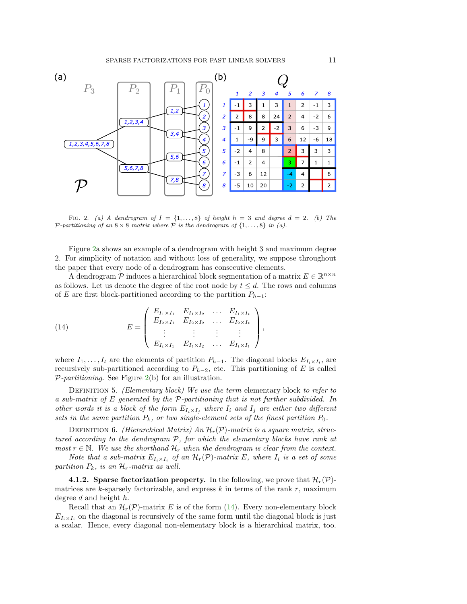<span id="page-10-0"></span>

FIG. 2. (a) A dendrogram of  $I = \{1, ..., 8\}$  of height  $h = 3$  and degree  $d = 2$ . (b) The P-partitioning of an  $8 \times 8$  matrix where  $\overline{P}$  is the dendrogram of  $\{1, \ldots, 8\}$  in (a).

Figure [2a](#page-10-0) shows an example of a dendrogram with height 3 and maximum degree 2. For simplicity of notation and without loss of generality, we suppose throughout the paper that every node of a dendrogram has consecutive elements.

A dendrogram  $\mathcal{P}$  induces a hierarchical block segmentation of a matrix  $E \in \mathbb{R}^{n \times n}$ as follows. Let us denote the degree of the root node by  $t \leq d$ . The rows and columns of E are first block-partitioned according to the partition  $P_{h-1}$ :

<span id="page-10-1"></span>(14) 
$$
E = \begin{pmatrix} E_{I_1 \times I_1} & E_{I_1 \times I_2} & \dots & E_{I_1 \times I_t} \\ E_{I_2 \times I_1} & E_{I_2 \times I_2} & \dots & E_{I_2 \times I_t} \\ \vdots & \vdots & \vdots & \vdots \\ E_{I_t \times I_1} & E_{I_t \times I_2} & \dots & E_{I_t \times I_t} \end{pmatrix},
$$

where  $I_1, \ldots, I_t$  are the elements of partition  $P_{h-1}$ . The diagonal blocks  $E_{I_i \times I_i}$ , are recursively sub-partitioned according to  $P_{h-2}$ , etc. This partitioning of E is called  $\mathcal{P}$ -partitioning. See Figure [2\(](#page-10-0)b) for an illustration.

DEFINITION 5. (Elementary block) We use the term elementary block to refer to a sub-matrix of E generated by the P-partitioning that is not further subdivided. In other words it is a block of the form  $E_{I_i \times I_j}$  where  $I_i$  and  $I_j$  are either two different sets in the same partition  $P_k$ , or two single-element sets of the finest partition  $P_0$ .

DEFINITION 6. (Hierarchical Matrix) An  $\mathcal{H}_r(\mathcal{P})$ -matrix is a square matrix, structured according to the dendrogram P, for which the elementary blocks have rank at most  $r \in \mathbb{N}$ . We use the shorthand  $\mathcal{H}_r$  when the dendrogram is clear from the context.

Note that a sub-matrix  $E_{I_i \times I_i}$  of an  $\mathcal{H}_r(\mathcal{P})$ -matrix E, where  $I_i$  is a set of some partition  $P_k$ , is an  $\mathcal{H}_r$ -matrix as well.

4.1.2. Sparse factorization property. In the following, we prove that  $\mathcal{H}_r(\mathcal{P})$ matrices are k-sparsely factorizable, and express k in terms of the rank r, maximum degree d and height h.

Recall that an  $\mathcal{H}_r(\mathcal{P})$ -matrix E is of the form [\(14\)](#page-10-1). Every non-elementary block  $E_{I_i \times I_i}$  on the diagonal is recursively of the same form until the diagonal block is just a scalar. Hence, every diagonal non-elementary block is a hierarchical matrix, too.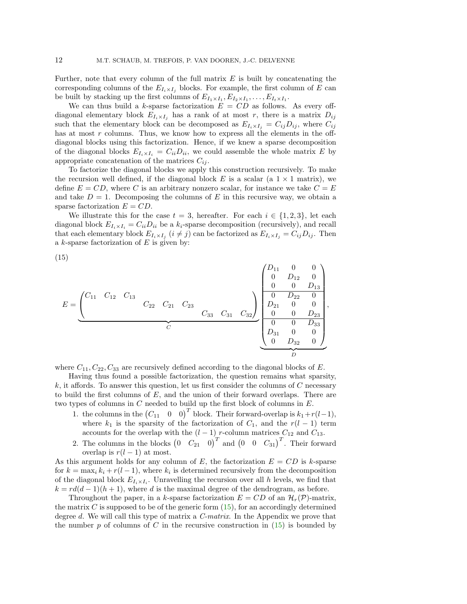Further, note that every column of the full matrix  $E$  is built by concatenating the corresponding columns of the  $E_{I_i \times I_j}$  blocks. For example, the first column of E can be built by stacking up the first columns of  $E_{I_1 \times I_1}, E_{I_2 \times I_1}, \ldots, E_{I_t \times I_1}$ .

We can thus build a k-sparse factorization  $E = CD$  as follows. As every offdiagonal elementary block  $E_{I_i \times I_j}$  has a rank of at most r, there is a matrix  $D_{ij}$ such that the elementary block can be decomposed as  $E_{I_i \times I_j} = C_{ij}D_{ij}$ , where  $C_{ij}$ has at most r columns. Thus, we know how to express all the elements in the offdiagonal blocks using this factorization. Hence, if we knew a sparse decomposition of the diagonal blocks  $E_{I_i \times I_i} = C_{ii}D_{ii}$ , we could assemble the whole matrix E by appropriate concatenation of the matrices  $C_{ij}$ .

To factorize the diagonal blocks we apply this construction recursively. To make the recursion well defined, if the diagonal block E is a scalar (a  $1 \times 1$  matrix), we define  $E = CD$ , where C is an arbitrary nonzero scalar, for instance we take  $C = E$ and take  $D = 1$ . Decomposing the columns of E in this recursive way, we obtain a sparse factorization  $E = CD$ .

We illustrate this for the case  $t = 3$ , hereafter. For each  $i \in \{1, 2, 3\}$ , let each diagonal block  $E_{I_i \times I_i} = C_{ii}D_{ii}$  be a  $k_i$ -sparse decomposition (recursively), and recall that each elementary block  $E_{I_i \times I_j}$   $(i \neq j)$  can be factorized as  $E_{I_i \times I_j} = C_{ij}D_{ij}$ . Then a  $k$ -sparse factorization of  $E$  is given by:

$$
E = \underbrace{\begin{pmatrix} C_{11} & C_{12} & C_{13} & & & & \\ 0 & C_{22} & C_{21} & C_{23} & & \\ & & & C_{33} & C_{31} & C_{32} \end{pmatrix}}_{C} \underbrace{\begin{pmatrix} D_{11} & 0 & 0 \\ 0 & D_{12} & 0 \\ 0 & 0 & D_{13} \\ D_{21} & 0 & 0 \\ 0 & 0 & D_{23} \\ D_{31} & 0 & 0 \\ 0 & 0 & D_{33} \\ D_{32} & 0 \end{pmatrix}}_{D},
$$

where  $C_{11}, C_{22}, C_{33}$  are recursively defined according to the diagonal blocks of E.

Having thus found a possible factorization, the question remains what sparsity,  $k$ , it affords. To answer this question, let us first consider the columns of  $C$  necessary to build the first columns of  $E$ , and the union of their forward overlaps. There are two types of columns in  $C$  needed to build up the first block of columns in  $E$ .

- 1. the columns in the  $(C_{11} \quad 0 \quad 0)^T$  block. Their forward-overlap is  $k_1+r(l-1)$ , where  $k_1$  is the sparsity of the factorization of  $C_1$ , and the  $r(l-1)$  term accounts for the overlap with the  $(l-1)$  r-column matrices  $C_{12}$  and  $C_{13}$ .
- 2. The columns in the blocks  $(0 \quad C_{21} \quad 0)^T$  and  $(0 \quad 0 \quad C_{31})^T$ . Their forward overlap is  $r(l-1)$  at most.

As this argument holds for any column of E, the factorization  $E = CD$  is k-sparse for  $k = \max_i k_i + r(l-1)$ , where  $k_i$  is determined recursively from the decomposition of the diagonal block  $E_{I_i \times I_i}$ . Unravelling the recursion over all h levels, we find that  $k = r d(d-1)(h+1)$ , where d is the maximal degree of the dendrogram, as before.

Throughout the paper, in a k-sparse factorization  $E = CD$  of an  $\mathcal{H}_r(\mathcal{P})$ -matrix, the matrix  $C$  is supposed to be of the generic form  $(15)$ , for an accordingly determined degree d. We will call this type of matrix a C-matrix. In the Appendix we prove that the number p of columns of C in the recursive construction in  $(15)$  is bounded by

<span id="page-11-0"></span>(15)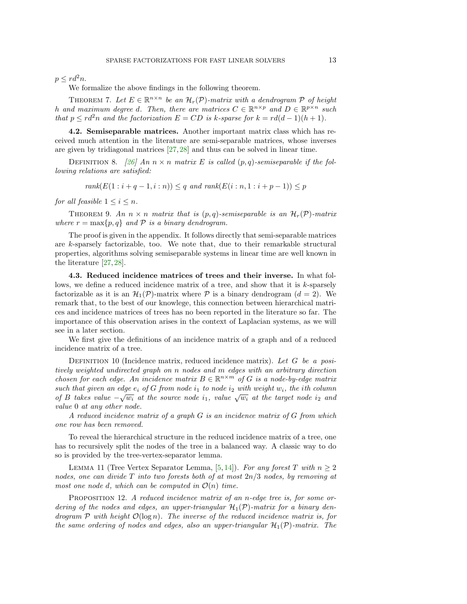$p \leq r d^2 n$ .

<span id="page-12-0"></span>We formalize the above findings in the following theorem.

THEOREM 7. Let  $E \in \mathbb{R}^{n \times n}$  be an  $\mathcal{H}_r(\mathcal{P})$ -matrix with a dendrogram  $\mathcal P$  of height h and maximum degree d. Then, there are matrices  $C \in \mathbb{R}^{n \times p}$  and  $D \in \mathbb{R}^{p \times n}$  such that  $p \leq rd^2n$  and the factorization  $E = CD$  is k-sparse for  $k = rd(d-1)(h+1)$ .

4.2. Semiseparable matrices. Another important matrix class which has received much attention in the literature are semi-separable matrices, whose inverses are given by tridiagonal matrices [\[27,](#page-19-1) [28\]](#page-19-2) and thus can be solved in linear time.

DEFINITION 8. [\[26\]](#page-19-4) An  $n \times n$  matrix E is called  $(p,q)$ -semiseparable if the following relations are satisfied:

$$
rank(E(1:i+q-1,i:n)) \leq q
$$
 and  $rank(E(i:n,1:i+p-1)) \leq p$ 

for all feasible  $1 \leq i \leq n$ .

<span id="page-12-2"></span>THEOREM 9. An  $n \times n$  matrix that is  $(p,q)$ -semiseparable is an  $\mathcal{H}_r(\mathcal{P})$ -matrix where  $r = \max\{p, q\}$  and P is a binary dendrogram.

The proof is given in the appendix. It follows directly that semi-separable matrices are k-sparsely factorizable, too. We note that, due to their remarkable structural properties, algorithms solving semiseparable systems in linear time are well known in the literature [\[27,](#page-19-1) [28\]](#page-19-2).

4.3. Reduced incidence matrices of trees and their inverse. In what follows, we define a reduced incidence matrix of a tree, and show that it is k-sparsely factorizable as it is an  $\mathcal{H}_1(\mathcal{P})$ -matrix where  $\mathcal P$  is a binary dendrogram  $(d = 2)$ . We remark that, to the best of our knowlege, this connection between hierarchical matrices and incidence matrices of trees has no been reported in the literature so far. The importance of this observation arises in the context of Laplacian systems, as we will see in a later section.

We first give the definitions of an incidence matrix of a graph and of a reduced incidence matrix of a tree.

DEFINITION 10 (Incidence matrix, reduced incidence matrix). Let  $G$  be a positively weighted undirected graph on n nodes and m edges with an arbitrary direction chosen for each edge. An incidence matrix  $B \in \mathbb{R}^{n \times m}$  of G is a node-by-edge matrix such that given an edge  $e_i$  of G from node  $i_1$  to node  $i_2$  with weight  $w_i$ , the ith column such that given an eage  $e_i$  of G from node  $i_1$  to node  $i_2$  with weight  $w_i$ , the tilt column<br>of B takes value  $-\sqrt{w_i}$  at the source node  $i_1$ , value  $\sqrt{w_i}$  at the target node  $i_2$  and value 0 at any other node.

A reduced incidence matrix of a graph G is an incidence matrix of G from which one row has been removed.

To reveal the hierarchical structure in the reduced incidence matrix of a tree, one has to recursively split the nodes of the tree in a balanced way. A classic way to do so is provided by the tree-vertex-separator lemma.

LEMMA 11 (Tree Vertex Separator Lemma, [\[5,](#page-18-14) [14\]](#page-18-15)). For any forest T with  $n \geq 2$ nodes, one can divide  $T$  into two forests both of at most  $2n/3$  nodes, by removing at most one node d, which can be computed in  $\mathcal{O}(n)$  time.

<span id="page-12-1"></span>PROPOSITION 12. A reduced incidence matrix of an n-edge tree is, for some ordering of the nodes and edges, an upper-triangular  $\mathcal{H}_1(\mathcal{P})$ -matrix for a binary dendrogram P with height  $\mathcal{O}(\log n)$ . The inverse of the reduced incidence matrix is, for the same ordering of nodes and edges, also an upper-triangular  $\mathcal{H}_1(\mathcal{P})$ -matrix. The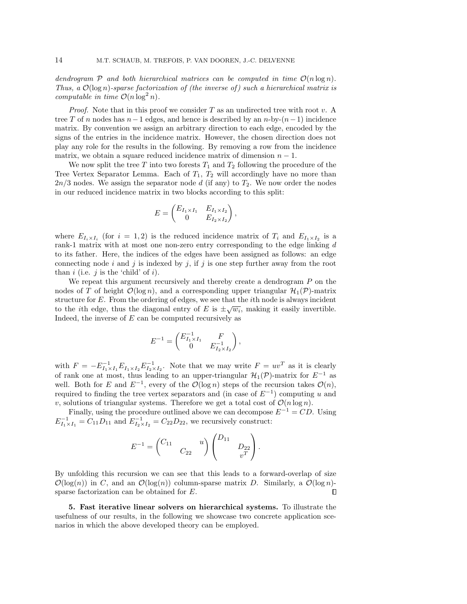dendrogram  $P$  and both hierarchical matrices can be computed in time  $O(n \log n)$ . Thus, a  $\mathcal{O}(\log n)$ -sparse factorization of (the inverse of) such a hierarchical matrix is computable in time  $\mathcal{O}(n \log^2 n)$ .

*Proof.* Note that in this proof we consider T as an undirected tree with root v. A tree T of n nodes has  $n-1$  edges, and hence is described by an  $n$ -by- $(n-1)$  incidence matrix. By convention we assign an arbitrary direction to each edge, encoded by the signs of the entries in the incidence matrix. However, the chosen direction does not play any role for the results in the following. By removing a row from the incidence matrix, we obtain a square reduced incidence matrix of dimension  $n - 1$ .

We now split the tree T into two forests  $T_1$  and  $T_2$  following the procedure of the Tree Vertex Separator Lemma. Each of  $T_1$ ,  $T_2$  will accordingly have no more than  $2n/3$  nodes. We assign the separator node d (if any) to  $T_2$ . We now order the nodes in our reduced incidence matrix in two blocks according to this split:

$$
E = \begin{pmatrix} E_{I_1 \times I_1} & E_{I_1 \times I_2} \\ 0 & E_{I_2 \times I_2} \end{pmatrix},
$$

where  $E_{I_i \times I_i}$  (for  $i = 1, 2$ ) is the reduced incidence matrix of  $T_i$  and  $E_{I_1 \times I_2}$  is a rank-1 matrix with at most one non-zero entry corresponding to the edge linking d to its father. Here, the indices of the edges have been assigned as follows: an edge connecting node  $i$  and  $j$  is indexed by  $j$ , if  $j$  is one step further away from the root than  $i$  (i.e.  $j$  is the 'child' of  $i$ ).

We repeat this argument recursively and thereby create a dendrogram  $P$  on the nodes of T of height  $\mathcal{O}(\log n)$ , and a corresponding upper triangular  $\mathcal{H}_1(\mathcal{P})$ -matrix structure for  $E$ . From the ordering of edges, we see that the *i*th node is always incident to the *i*th edge, thus the diagonal entry of E is  $\pm \sqrt{w_i}$ , making it easily invertible. Indeed, the inverse of  $E$  can be computed recursively as

$$
E^{-1} = \begin{pmatrix} E_{I_1 \times I_1}^{-1} & F \\ 0 & E_{I_2 \times I_2}^{-1} \end{pmatrix},
$$

with  $F = -E_{I_1 \times I_1}^{-1} E_{I_1 \times I_2} E_{I_2 \times I_2}^{-1}$ . Note that we may write  $F = uv^T$  as it is clearly of rank one at most, thus leading to an upper-triangular  $\mathcal{H}_1(\mathcal{P})$ -matrix for  $E^{-1}$  as well. Both for E and  $E^{-1}$ , every of the  $\mathcal{O}(\log n)$  steps of the recursion takes  $\mathcal{O}(n)$ , required to finding the tree vertex separators and (in case of  $E^{-1}$ ) computing u and v, solutions of triangular systems. Therefore we get a total cost of  $\mathcal{O}(n \log n)$ .

Finally, using the procedure outlined above we can decompose  $E^{-1} = CD$ . Using  $E_{I_1 \times I_1}^{-1} = C_{11} D_{11}$  and  $E_{I_2 \times I_2}^{-1} = C_{22} D_{22}$ , we recursively construct:

$$
E^{-1} = \begin{pmatrix} C_{11} & & u \\ & C_{22} & \end{pmatrix} \begin{pmatrix} D_{11} & & \\ & D_{22} & \\ & v^T \end{pmatrix}.
$$

By unfolding this recursion we can see that this leads to a forward-overlap of size  $\mathcal{O}(\log(n))$  in C, and an  $\mathcal{O}(\log(n))$  column-sparse matrix D. Similarly, a  $\mathcal{O}(\log n)$ sparse factorization can be obtained for E.  $\Box$ 

<span id="page-13-0"></span>5. Fast iterative linear solvers on hierarchical systems. To illustrate the usefulness of our results, in the following we showcase two concrete application scenarios in which the above developed theory can be employed.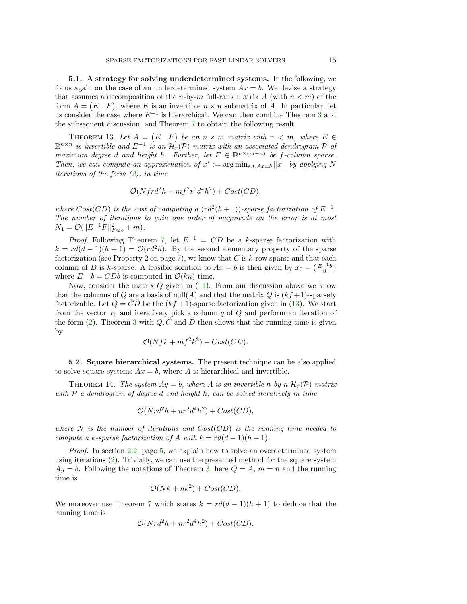5.1. A strategy for solving underdetermined systems. In the following, we focus again on the case of an underdetermined system  $Ax = b$ . We devise a strategy that assumes a decomposition of the *n*-by-*m* full-rank matrix A (with  $n < m$ ) of the form  $A = (E \ F)$ , where E is an invertible  $n \times n$  submatrix of A. In particular, let us consider the case where  $E^{-1}$  is hierarchical. We can then combine Theorem [3](#page-7-0) and the subsequent discussion, and Theorem [7](#page-12-0) to obtain the following result.

<span id="page-14-0"></span>THEOREM 13. Let  $A = (E \ F)$  be an  $n \times m$  matrix with  $n \lt m$ , where  $E \in$  $\mathbb{R}^{n \times n}$  is invertible and  $E^{-1}$  is an  $\mathcal{H}_r(\mathcal{P})$ -matrix with an associated dendrogram  $\mathcal P$  of maximum degree d and height h. Further, let  $F \in \mathbb{R}^{n \times (m-n)}$  be f-column sparse. Then, we can compute an approximation of  $x^* := \arg \min_{s.t. Ax=b} ||x||$  by applying N iterations of the form [\(2\)](#page-3-0), in time

$$
\mathcal{O}(Nfrd^2h + mf^2r^2d^4h^2) + Cost(CD),
$$

where  $Cost(CD)$  is the cost of computing a  $(rd^2(h+1))$ -sparse factorization of  $E^{-1}$ . The number of iterations to gain one order of magnitude on the error is at most  $N_1 = \mathcal{O}(\|E^{-1}F\|_{Frob}^2 + m).$ 

*Proof.* Following Theorem [7,](#page-12-0) let  $E^{-1} = CD$  be a k-sparse factorization with  $k = r d(d-1)(h+1) = \mathcal{O}(r d^2 h)$ . By the second elementary property of the sparse factorization (see Property 2 on page [7\)](#page-6-1), we know that  $C$  is  $k$ -row sparse and that each column of D is k-sparse. A feasible solution to  $Ax = b$  is then given by  $x_0 = (E_0^{-1}b)$ where  $E^{-1}b = CDb$  is computed in  $\mathcal{O}(kn)$  time.

Now, consider the matrix  $Q$  given in  $(11)$ . From our discussion above we know that the columns of Q are a basis of  $null(A)$  and that the matrix Q is  $(kf+1)$ -sparsely factorizable. Let  $Q = CD$  be the  $(kf + 1)$ -sparse factorization given in [\(13\)](#page-8-1). We start from the vector  $x_0$  and iteratively pick a column q of Q and perform an iteration of the form [\(2\)](#page-3-0). Theorem [3](#page-7-0) with  $Q, \tilde{C}$  and  $\tilde{D}$  then shows that the running time is given by

$$
\mathcal{O}(Nfk + mf^2k^2) + Cost(CD).
$$

5.2. Square hierarchical systems. The present technique can be also applied to solve square systems  $Ax = b$ , where A is hierarchical and invertible.

THEOREM 14. The system  $Ay = b$ , where A is an invertible n-by-n  $\mathcal{H}_r(\mathcal{P})$ -matrix with  $P$  a dendrogram of degree d and height h, can be solved iteratively in time

$$
\mathcal{O}(Nrd^2h + nr^2d^4h^2) + Cost(CD),
$$

where N is the number of iterations and  $Cost(CD)$  is the running time needed to compute a k-sparse factorization of A with  $k = rd(d-1)(h+1)$ .

Proof. In section [2.2,](#page-4-0) page [5,](#page-4-0) we explain how to solve an overdetermined system using iterations [\(2\)](#page-3-0). Trivially, we can use the presented method for the square system  $Ay = b$ . Following the notations of Theorem [3,](#page-7-0) here  $Q = A$ ,  $m = n$  and the running time is

$$
\mathcal{O}(Nk + nk^2) + Cost(CD).
$$

We moreover use Theorem [7](#page-12-0) which states  $k = rd(d-1)(h+1)$  to deduce that the running time is

$$
\mathcal{O}(Nrd^2h + nr^2d^4h^2) + Cost(CD).
$$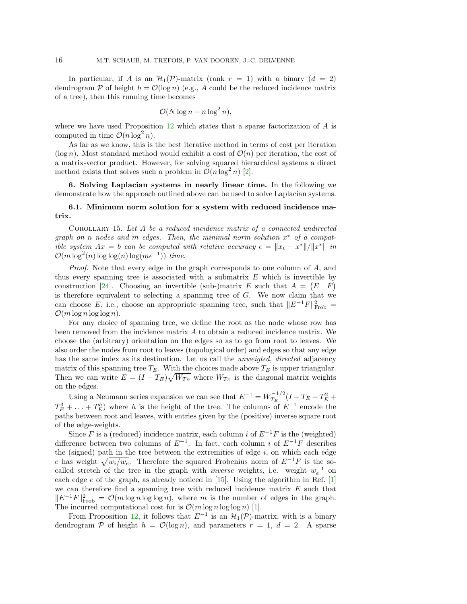In particular, if A is an  $\mathcal{H}_1(\mathcal{P})$ -matrix (rank  $r = 1$ ) with a binary (d = 2) dendrogram  $P$  of height  $h = \mathcal{O}(\log n)$  (e.g., A could be the reduced incidence matrix of a tree), then this running time becomes

$$
\mathcal{O}(N\log n + n\log^2 n),
$$

where we have used Proposition [12](#page-12-1) which states that a sparse factorization of A is computed in time  $\mathcal{O}(n \log^2 n)$ .

As far as we know, this is the best iterative method in terms of cost per iteration  $(\log n)$ . Most standard method would exhibit a cost of  $\mathcal{O}(n)$  per iteration, the cost of a matrix-vector product. However, for solving squared hierarchical systems a direct method exists that solves such a problem in  $\mathcal{O}(n \log^2 n)$  [\[2\]](#page-18-13).

6. Solving Laplacian systems in nearly linear time. In the following we demonstrate how the approach outlined above can be used to solve Laplacian systems.

### <span id="page-15-0"></span>6.1. Minimum norm solution for a system with reduced incidence matrix.

Corollary 15. Let A be a reduced incidence matrix of a connected undirected  $graph on n nodes and m edges. Then, the minimal norm solution  $x^*$  of a compact$ ible system  $Ax = b$  can be computed with relative accuracy  $\epsilon = ||x_t - x^*||/||x^*||$  in  $\mathcal{O}(m \log^2(n) \log \log(n) \log(m\epsilon^{-1}))$  time.

Proof. Note that every edge in the graph corresponds to one column of A, and thus every spanning tree is associated with a submatrix  $E$  which is invertible by construction [\[24\]](#page-18-16). Choosing an invertible (sub-)matrix E such that  $A = (E \ F)$ is therefore equivalent to selecting a spanning tree of  $G$ . We now claim that we can choose E, i.e., choose an appropriate spanning tree, such that  $||E^{-1}F||_{\text{Frob}}^2 =$  $\mathcal{O}(m \log n \log \log n)$ .

For any choice of spanning tree, we define the root as the node whose row has been removed from the incidence matrix A to obtain a reduced incidence matrix. We choose the (arbitrary) orientation on the edges so as to go from root to leaves. We also order the nodes from root to leaves (topological order) and edges so that any edge has the same index as its destination. Let us call the *unweigted, directed* adjacency matrix of this spanning tree  $T_E$ . With the choices made above  $T_E$  is upper triangular. Then we can write  $E = (I - T_E) \sqrt{W_{T_E}}$  where  $W_{T_E}$  is the diagonal matrix weights on the edges.

Using a Neumann series expansion we can see that  $E^{-1} = W_{T_E}^{-1/2}$  $T_E^{-1/2}(I+T_E+T_E^2+$  $T_E^3 + \ldots + T_E^h$ ) where h is the height of the tree. The columns of  $E^{-1}$  encode the paths between root and leaves, with entries given by the (positive) inverse square root of the edge-weights.

Since F is a (reduced) incidence matrix, each column i of  $E^{-1}F$  is the (weighted) difference between two columns of  $E^{-1}$ . In fact, each column i of  $E^{-1}F$  describes the (signed) path in the tree between the extremities of edge  $i$ , on which each edge e has weight  $\sqrt{w_i/w_e}$ . Therefore the squared Frobenius norm of  $E^{-1}F$  is the socalled stretch of the tree in the graph with *inverse* weights, i.e. weight  $w_e^{-1}$  on each edge  $e$  of the graph, as already noticed in  $[15]$ . Using the algorithm in Ref.  $[1]$ we can therefore find a spanning tree with reduced incidence matrix  $E$  such that  $||E^{-1}F||_{\text{Frob}}^2 = \mathcal{O}(m \log n \log \log n)$ , where m is the number of edges in the graph. The incurred computational cost for is  $\mathcal{O}(m \log n \log \log n)$  [\[1\]](#page-18-17).

From Proposition [12,](#page-12-1) it follows that  $E^{-1}$  is an  $\mathcal{H}_1(\mathcal{P})$ -matrix, with is a binary dendrogram  $P$  of height  $h = \mathcal{O}(\log n)$ , and parameters  $r = 1, d = 2$ . A sparse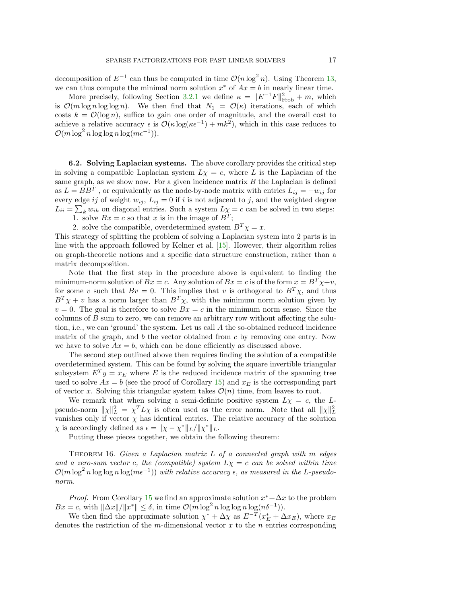decomposition of  $E^{-1}$  can thus be computed in time  $\mathcal{O}(n \log^2 n)$ . Using Theorem [13,](#page-14-0) we can thus compute the minimal norm solution  $x^*$  of  $Ax = b$  in nearly linear time.

More precisely, following Section [3.2.1](#page-8-2) we define  $\kappa = ||E^{-1}F||_{\text{Frob}}^2 + m$ , which is  $\mathcal{O}(m \log n \log \log n)$ . We then find that  $N_1 = \mathcal{O}(\kappa)$  iterations, each of which costs  $k = \mathcal{O}(\log n)$ , suffice to gain one order of magnitude, and the overall cost to achieve a relative accuracy  $\epsilon$  is  $\mathcal{O}(\kappa \log(\kappa \epsilon^{-1}) + mk^2)$ , which in this case reduces to  $\mathcal{O}(m \log^2 n \log \log n \log(m\epsilon^{-1}))$ .

6.2. Solving Laplacian systems. The above corollary provides the critical step in solving a compatible Laplacian system  $L\chi = c$ , where L is the Laplacian of the same graph, as we show now. For a given incidence matrix  $B$  the Laplacian is defined as  $L = BB^T$ , or equivalently as the node-by-node matrix with entries  $L_{ij} = -w_{ij}$  for every edge ij of weight  $w_{ij}$ ,  $L_{ij} = 0$  if i is not adjacent to j, and the weighted degree  $L_{ii} = \sum_{k} w_{ik}$  on diagonal entries. Such a system  $L_{\chi} = c$  can be solved in two steps: 1. solve  $Bx = c$  so that x is in the image of  $B<sup>T</sup>$ ;

2. solve the compatible, overdetermined system  $B^T \chi = x$ .

This strategy of splitting the problem of solving a Laplacian system into 2 parts is in line with the approach followed by Kelner et al. [\[15\]](#page-18-5). However, their algorithm relies on graph-theoretic notions and a specific data structure construction, rather than a matrix decomposition.

Note that the first step in the procedure above is equivalent to finding the minimum-norm solution of  $Bx = c$ . Any solution of  $Bx = c$  is of the form  $x = B^T x + v$ , for some v such that  $Bv = 0$ . This implies that v is orthogonal to  $B<sup>T</sup> \chi$ , and thus  $B<sup>T</sup> \chi + v$  has a norm larger than  $B<sup>T</sup> \chi$ , with the minimum norm solution given by  $v = 0$ . The goal is therefore to solve  $Bx = c$  in the minimum norm sense. Since the columns of  $B$  sum to zero, we can remove an arbitrary row without affecting the solution, i.e., we can 'ground' the system. Let us call A the so-obtained reduced incidence matrix of the graph, and b the vector obtained from  $c$  by removing one entry. Now we have to solve  $Ax = b$ , which can be done efficiently as discussed above.

The second step outlined above then requires finding the solution of a compatible overdetermined system. This can be found by solving the square invertible triangular subsystem  $E^{T} y = x_{E}$  where E is the reduced incidence matrix of the spanning tree used to solve  $Ax = b$  (see the proof of Corollary [15\)](#page-15-0) and  $x<sub>E</sub>$  is the corresponding part of vector x. Solving this triangular system takes  $\mathcal{O}(n)$  time, from leaves to root.

We remark that when solving a semi-definite positive system  $L<sub>X</sub> = c$ , the Lpseudo-norm  $\|\chi\|_{L}^{2} = \chi^{T} L \chi$  is often used as the error norm. Note that all  $\|\chi\|_{L}^{2}$ vanishes only if vector  $\chi$  has identical entries. The relative accuracy of the solution  $\chi$  is accordingly defined as  $\epsilon = ||\chi - \chi^*||_L/||\chi^*||_L$ .

<span id="page-16-0"></span>Putting these pieces together, we obtain the following theorem:

THEOREM 16. Given a Laplacian matrix  $L$  of a connected graph with m edges and a zero-sum vector c, the (compatible) system  $L\chi = c$  can be solved within time  $\mathcal{O}(m \log^2 n \log \log n \log(m\epsilon^{-1}))$  with relative accuracy  $\epsilon$ , as measured in the L-pseudonorm.

*Proof.* From Corollary [15](#page-15-0) we find an approximate solution  $x^* + \Delta x$  to the problem  $Bx = c$ , with  $\|\Delta x\|/\|x^*\| \le \delta$ , in time  $\mathcal{O}(m \log^2 n \log \log n \log(n \delta^{-1}))$ .

We then find the approximate solution  $\chi^* + \Delta \chi$  as  $E^{-T}(x_E^* + \Delta x_E)$ , where  $x_E$ denotes the restriction of the m-dimensional vector  $x$  to the n entries corresponding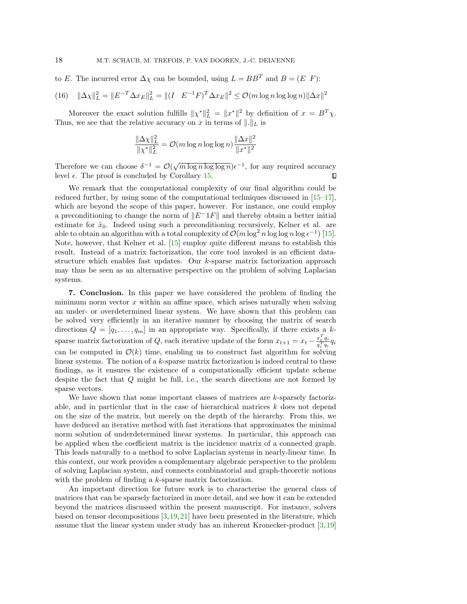to E. The incurred error  $\Delta \chi$  can be bounded, using  $L = BB^T$  and  $B = (E \ F)$ :

$$
(16) \quad \|\Delta \chi\|_{L}^{2} = \|E^{-T}\Delta x_E\|_{L}^{2} = \|(I \quad E^{-1}F)^{T}\Delta x_E\|^{2} \le \mathcal{O}(m \log n \log \log n)\|\Delta x\|^{2}
$$

Moreover the exact solution fulfills  $\|\chi^*\|_L^2 = \|x^*\|^2$  by definition of  $x = B^T \chi$ . Thus, we see that the relative accuracy on x in terms of  $\|.\|_L$  is

$$
\frac{\|\Delta \chi\|_L^2}{\|\chi^*\|_L^2} = \mathcal{O}(m \log n \log \log n) \frac{\|\Delta x\|^2}{\|x^*\|^2}
$$

Therefore we can choose  $\delta^{-1} = \mathcal{O}(\sqrt{m \log n \log \log n}) \epsilon^{-1}$ , for any required accuracy level  $\epsilon$ . The proof is concluded by Corollary [15.](#page-15-0)  $\Box$ 

We remark that the computational complexity of our final algorithm could be reduced further, by using some of the computational techniques discussed in  $[15-17]$  $[15-17]$ , which are beyond the scope of this paper, however. For instance, one could employ a preconditioning to change the norm of  $||E^-1F||$  and thereby obtain a better initial estimate for  $\hat{x}_0$ . Indeed using such a preconditioning recursively, Kelner et al. are able to obtain an algorithm with a total complexity of  $\mathcal{O}(m \log^2 n \log \log n \log \epsilon^{-1})$  [\[15\]](#page-18-5). Note, however, that Kelner et al. [\[15\]](#page-18-5) employ quite different means to establish this result. Instead of a matrix factorization, the core tool invoked is an efficient datastructure which enables fast updates. Our k-sparse matrix factorization approach may thus be seen as an alternative perspective on the problem of solving Laplacian systems.

7. Conclusion. In this paper we have considered the problem of finding the minimum norm vector  $x$  within an affine space, which arises naturally when solving an under- or overdetermined linear system. We have shown that this problem can be solved very efficiently in an iterative manner by choosing the matrix of search directions  $Q = [q_1, \ldots, q_m]$  in an appropriate way. Specifically, if there exists a ksparse matrix factorization of Q, each iterative update of the form  $x_{t+1} = x_t - \frac{x_t^T q_t}{\sigma^T a}$  $\frac{x_t q_i}{q_i^T q_i} q_i$ can be computed in  $\mathcal{O}(k)$  time, enabling us to construct fast algorithm for solving linear systems. The notion of a k-sparse matrix factorization is indeed central to these findings, as it ensures the existence of a computationally efficient update scheme despite the fact that Q might be full, i.e., the search directions are not formed by sparse vectors.

We have shown that some important classes of matrices are k-sparsely factorizable, and in particular that in the case of hierarchical matrices  $k$  does not depend on the size of the matrix, but merely on the depth of the hierarchy. From this, we have deduced an iterative method with fast iterations that approximates the minimal norm solution of underdetermined linear systems. In particular, this approach can be applied when the coefficient matrix is the incidence matrix of a connected graph. This leads naturally to a method to solve Laplacian systems in nearly-linear time. In this context, our work provides a complementary algebraic perspective to the problem of solving Laplacian system, and connects combinatorial and graph-theoretic notions with the problem of finding a k-sparse matrix factorization.

An important direction for future work is to characterise the general class of matrices that can be sparsely factorized in more detail, and see how it can be extended beyond the matrices discussed within the present manuscript. For instance, solvers based on tensor decompositions [\[3,](#page-18-19)[19,](#page-18-20)[21\]](#page-18-21) have been presented in the literature, which assume that the linear system under study has an inherent Kronecker-product [\[3,](#page-18-19) [19\]](#page-18-20)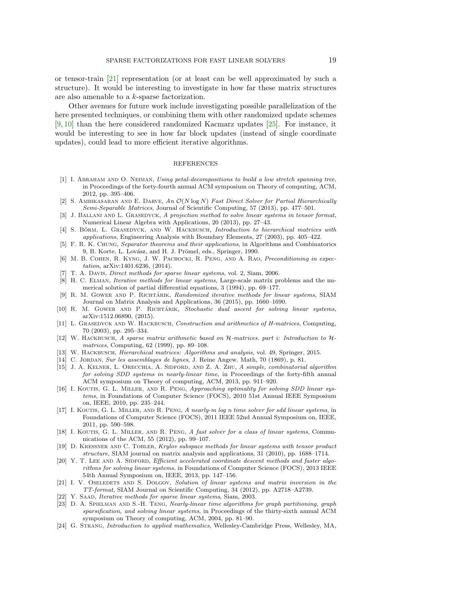or tensor-train [\[21\]](#page-18-21) representation (or at least can be well approximated by such a structure). It would be interesting to investigate in how far these matrix structures are also amenable to a k-sparse factorization.

Other avenues for future work include investigating possible parallelization of the here presented techniques, or combining them with other randomized update schemes [\[9,](#page-18-12) [10\]](#page-18-22) than the here considered randomized Kacmarz updates [\[25\]](#page-19-3). For instance, it would be interesting to see in how far block updates (instead of single coordinate updates), could lead to more efficient iterative algorithms.

### REFERENCES

- <span id="page-18-17"></span>[1] I. ABRAHAM AND O. NEIMAN, Using petal-decompositions to build a low stretch spanning tree, in Proceedings of the forty-fourth annual ACM symposium on Theory of computing, ACM, 2012, pp. 395–406.
- <span id="page-18-13"></span>[2] S. AMBIKASARAN AND E. DARVE, An  $\mathcal{O}(N \log N)$  Fast Direct Solver for Partial Hierarchically Semi-Separable Matrices, Journal of Scientific Computing, 57 (2013), pp. 477–501.
- <span id="page-18-19"></span>[3] J. BALLANI AND L. GRASEDYCK, A projection method to solve linear systems in tensor format, Numerical Linear Algebra with Applications, 20 (2013), pp. 27–43.
- <span id="page-18-10"></span>[4] S. BÖRM, L. GRASEDYCK, AND W. HACKBUSCH, *Introduction to hierarchical matrices with* applications, Engineering Analysis with Boundary Elements, 27 (2003), pp. 405–422.
- <span id="page-18-14"></span>[5] F. R. K. Chung, Separator theorems and their applications, in Algorithms and Combinatorics 9, B. Korte, L. Lovász, and H. J. Prömel, eds., Springer, 1990.
- <span id="page-18-4"></span>[6] M. B. Cohen, R. Kyng, J. W. Pachocki, R. Peng, and A. Rao, Preconditioning in expectation, arXiv:1401.6236, (2014).
- <span id="page-18-0"></span>[7] T. A. Davis, Direct methods for sparse linear systems, vol. 2, Siam, 2006.
- <span id="page-18-1"></span>[8] H. C. ELMAN, *Iterative methods for linear systems*, Large-scale matrix problems and the numerical solution of partial differential equations, 3 (1994), pp. 69–177.
- <span id="page-18-12"></span>[9] R. M. GOWER AND P. RICHTÁRIK, Randomized iterative methods for linear systems, SIAM Journal on Matrix Analysis and Applications, 36 (2015), pp. 1660–1690.
- <span id="page-18-22"></span>[10] R. M. GOWER AND P. RICHTÁRIK, Stochastic dual ascent for solving linear systems, arXiv:1512.06890, (2015).
- <span id="page-18-11"></span>[11] L. GRASEDYCK AND W. HACKBUSCH, Construction and arithmetics of H-matrices, Computing, 70 (2003), pp. 295–334.
- <span id="page-18-8"></span>[12] W. Hackbusch, A sparse matrix arithmetic based on H-matrices. part i: Introduction to Hmatrices, Computing, 62 (1999), pp. 89–108.
- <span id="page-18-9"></span>[13] W. HACKBUSCH, *Hierarchical matrices: Algorithms and analysis*, vol. 49, Springer, 2015.
- <span id="page-18-15"></span>[14] C. Jordan, Sur les assemblages de lignes, J. Reine Angew. Math, 70 (1869), p. 81.
- <span id="page-18-5"></span>[15] J. A. KELNER, L. ORECCHIA, A. SIDFORD, AND Z. A. ZHU, A simple, combinatorial algorithm for solving SDD systems in nearly-linear time, in Proceedings of the forty-fifth annual ACM symposium on Theory of computing, ACM, 2013, pp. 911–920.
- [16] I. KOUTIS, G. L. MILLER, AND R. PENG, Approaching optimality for solving SDD linear systems, in Foundations of Computer Science (FOCS), 2010 51st Annual IEEE Symposium on, IEEE, 2010, pp. 235–244.
- <span id="page-18-18"></span>[17] I. KOUTIS, G. L. MILLER, AND R. PENG, A nearly-m log n time solver for sdd linear systems, in Foundations of Computer Science (FOCS), 2011 IEEE 52nd Annual Symposium on, IEEE, 2011, pp. 590–598.
- <span id="page-18-6"></span>[18] I. KOUTIS, G. L. MILLER, AND R. PENG, A fast solver for a class of linear systems, Communications of the ACM, 55 (2012), pp. 99–107.
- <span id="page-18-20"></span>[19] D. Kressner and C. Tobler, Krylov subspace methods for linear systems with tensor product structure, SIAM journal on matrix analysis and applications, 31 (2010), pp. 1688–1714.
- <span id="page-18-7"></span>[20] Y. T. LEE AND A. SIDFORD, Efficient accelerated coordinate descent methods and faster algorithms for solving linear systems, in Foundations of Computer Science (FOCS), 2013 IEEE 54th Annual Symposium on, IEEE, 2013, pp. 147–156.
- <span id="page-18-21"></span>[21] I. V. OSELEDETS AND S. DOLGOV, Solution of linear systems and matrix inversion in the TT-format, SIAM Journal on Scientific Computing, 34 (2012), pp. A2718–A2739.
- <span id="page-18-2"></span>[22] Y. SAAD, Iterative methods for sparse linear systems, Siam, 2003.
- <span id="page-18-3"></span>[23] D. A. Spielman and S.-H. Teng, Nearly-linear time algorithms for graph partitioning, graph sparsification, and solving linear systems, in Proceedings of the thirty-sixth annual ACM symposium on Theory of computing, ACM, 2004, pp. 81–90.
- <span id="page-18-16"></span>[24] G. Strang, Introduction to applied mathematics, Wellesley-Cambridge Press, Wellesley, MA,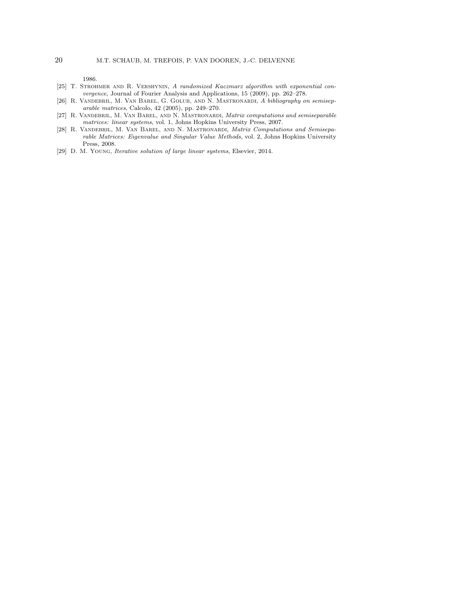1986.

- <span id="page-19-3"></span>[25] T. STROHMER AND R. VERSHYNIN, A randomized Kaczmarz algorithm with exponential convergence, Journal of Fourier Analysis and Applications, 15 (2009), pp. 262–278.
- <span id="page-19-4"></span>[26] R. Vandebril, M. Van Barel, G. Golub, and N. Mastronardi, A bibliography on semiseparable matrices, Calcolo, 42 (2005), pp. 249–270.
- <span id="page-19-1"></span>[27] R. Vandebril, M. Van Barel, and N. Mastronardi, Matrix computations and semiseparable matrices: linear systems, vol. 1, Johns Hopkins University Press, 2007.
- <span id="page-19-2"></span>[28] R. VANDEBRIL, M. VAN BAREL, AND N. MASTRONARDI, Matrix Computations and Semiseparable Matrices: Eigenvalue and Singular Value Methods, vol. 2, Johns Hopkins University Press, 2008.
- <span id="page-19-0"></span>[29] D. M. Young, Iterative solution of large linear systems, Elsevier, 2014.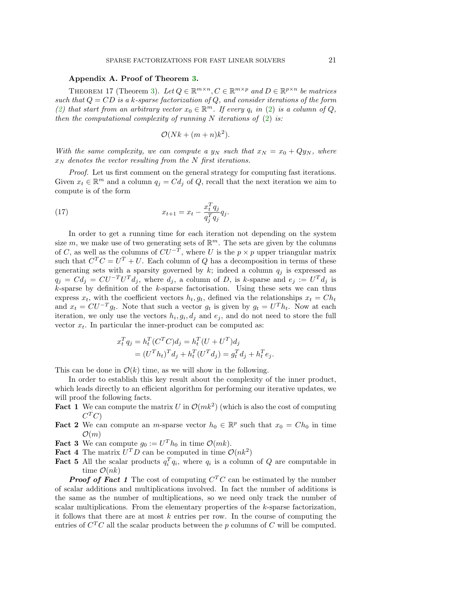# Appendix A. Proof of Theorem [3.](#page-7-0)

THEOREM 17 (Theorem [3\)](#page-7-0). Let  $Q \in \mathbb{R}^{m \times n}$ ,  $C \in \mathbb{R}^{m \times p}$  and  $D \in \mathbb{R}^{p \times n}$  be matrices such that  $Q = CD$  is a k-sparse factorization of Q, and consider iterations of the form [\(2\)](#page-3-0) that start from an arbitrary vector  $x_0 \in \mathbb{R}^m$ . If every  $q_i$  in (2) is a column of Q, then the computational complexity of running  $N$  iterations of  $(2)$  is:

<span id="page-20-0"></span>
$$
\mathcal{O}(Nk + (m+n)k^2).
$$

With the same complexity, we can compute a  $y_N$  such that  $x_N = x_0 + Qy_N$ , where  $x_N$  denotes the vector resulting from the N first iterations.

Proof. Let us first comment on the general strategy for computing fast iterations. Given  $x_t \in \mathbb{R}^m$  and a column  $q_j = Cd_j$  of Q, recall that the next iteration we aim to compute is of the form

(17) 
$$
x_{t+1} = x_t - \frac{x_t^T q_j}{q_j^T q_j} q_j.
$$

In order to get a running time for each iteration not depending on the system size m, we make use of two generating sets of  $\mathbb{R}^m$ . The sets are given by the columns of C, as well as the columns of  $CU^{-T}$ , where U is the  $p \times p$  upper triangular matrix such that  $C^T C = U^T + U$ . Each column of Q has a decomposition in terms of these generating sets with a sparsity governed by  $k$ ; indeed a column  $q_j$  is expressed as  $q_j = Cd_j = CU^{-T}U^{T}d_j$ , where  $d_j$ , a column of D, is k-sparse and  $e_j := U^{T}d_j$  is  $k$ -sparse by definition of the  $k$ -sparse factorisation. Using these sets we can thus express  $x_t$ , with the coefficient vectors  $h_t, g_t$ , defined via the relationships  $x_t = Ch_t$ and  $x_t = CU^{-T}g_t$ . Note that such a vector  $g_t$  is given by  $g_t = U^T h_t$ . Now at each iteration, we only use the vectors  $h_i, g_i, d_j$  and  $e_j$ , and do not need to store the full vector  $x_t$ . In particular the inner-product can be computed as:

$$
x_t^T q_j = h_t^T (C^T C) d_j = h_t^T (U + U^T) d_j
$$
  
= 
$$
(U^T h_t)^T d_j + h_t^T (U^T d_j) = g_t^T d_j + h_t^T e_j.
$$

This can be done in  $\mathcal{O}(k)$  time, as we will show in the following.

In order to establish this key result about the complexity of the inner product, which leads directly to an efficient algorithm for performing our iterative updates, we will proof the following facts.

- **Fact 1** We can compute the matrix U in  $\mathcal{O}(mk^2)$  (which is also the cost of computing  $C^TC$
- **Fact 2** We can compute an *m*-sparse vector  $h_0 \in \mathbb{R}^p$  such that  $x_0 = Ch_0$  in time  $\mathcal{O}(m)$
- **Fact 3** We can compute  $g_0 := U^T h_0$  in time  $\mathcal{O}(mk)$ .
- **Fact 4** The matrix  $U^T D$  can be computed in time  $\mathcal{O}(nk^2)$
- **Fact 5** All the scalar products  $q_i^T q_i$ , where  $q_i$  is a column of Q are computable in time  $\mathcal{O}(nk)$

**Proof of Fact 1** The cost of computing  $C^T C$  can be estimated by the number of scalar additions and multiplications involved. In fact the number of additions is the same as the number of multiplications, so we need only track the number of scalar multiplications. From the elementary properties of the k-sparse factorization, it follows that there are at most  $k$  entries per row. In the course of computing the entries of  $C<sup>T</sup>C$  all the scalar products between the p columns of C will be computed.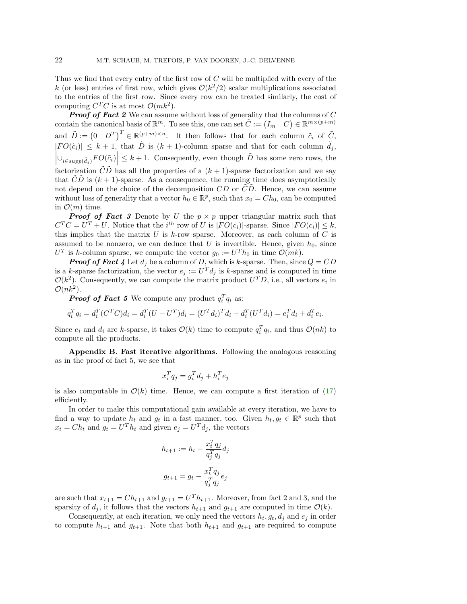Thus we find that every entry of the first row of C will be multiplied with every of the k (or less) entries of first row, which gives  $\mathcal{O}(k^2/2)$  scalar multiplications associated to the entries of the first row. Since every row can be treated similarly, the cost of computing  $C^T C$  is at most  $\mathcal{O}(mk^2)$ .

**Proof of Fact 2** We can assume without loss of generality that the columns of  $C$ contain the canonical basis of  $\mathbb{R}^m$ . To see this, one can set  $\tilde{C} := (I_m \ C) \in \mathbb{R}^{m \times (p+m)}$ and  $\tilde{D} := (0 \quad D^T)^T \in \mathbb{R}^{(p+m)\times n}$ . It then follows that for each column  $\tilde{c}_i$  of  $\tilde{C}$ ,  $|FO(\tilde{c}_i)| \leq k+1$ , that  $\tilde{D}$  is  $(k+1)$ -column sparse and that for each column  $\tilde{d}_j$ ,  $\left|\bigcup_{i\in \text{supp}(\tilde{d}_j)} FO(\tilde{c}_i)\right| \leq k+1$ . Consequently, even though  $\tilde{D}$  has some zero rows, the factorization  $\tilde{C}\tilde{D}$  has all the properties of a  $(k + 1)$ -sparse factorization and we say that  $\tilde{CD}$  is  $(k + 1)$ -sparse. As a consequence, the running time does asymptotically not depend on the choice of the decomposition  $CD$  or  $CD$ . Hence, we can assume without loss of generality that a vector  $h_0 \in \mathbb{R}^p$ , such that  $x_0 = Ch_0$ , can be computed in  $\mathcal{O}(m)$  time.

**Proof of Fact** 3 Denote by U the  $p \times p$  upper triangular matrix such that  $C^{T}C = U^{T} + U$ . Notice that the *i*<sup>th</sup> row of U is  $|FO(c_i)|$ -sparse. Since  $|FO(c_i)| \leq k$ , this implies that the matrix  $U$  is  $k$ -row sparse. Moreover, as each column of  $C$  is assumed to be nonzero, we can deduce that U is invertible. Hence, given  $h_0$ , since  $U^T$  is k-column sparse, we compute the vector  $g_0 := U^T h_0$  in time  $\mathcal{O}(mk)$ .

**Proof of Fact 4** Let  $d_j$  be a column of D, which is k-sparse. Then, since  $Q = CD$ is a k-sparse factorization, the vector  $e_j := U^T d_j$  is k-sparse and is computed in time  $\mathcal{O}(k^2)$ . Consequently, we can compute the matrix product  $U^T D$ , i.e., all vectors  $e_i$  in  $\mathcal{O}(nk^2)$ .

**Proof of Fact 5** We compute any product  $q_i^T q_i$  as:

$$
q_i^T q_i = d_i^T (C^T C) d_i = d_i^T (U + U^T) d_i = (U^T d_i)^T d_i + d_i^T (U^T d_i) = e_i^T d_i + d_i^T e_i.
$$

Since  $e_i$  and  $d_i$  are k-sparse, it takes  $\mathcal{O}(k)$  time to compute  $q_i^T q_i$ , and thus  $\mathcal{O}(nk)$  to compute all the products.

Appendix B. Fast iterative algorithms. Following the analogous reasoning as in the proof of fact 5, we see that

$$
x_i^T q_j = g_i^T d_j + h_i^T e_j
$$

is also computable in  $\mathcal{O}(k)$  time. Hence, we can compute a first iteration of [\(17\)](#page-20-0) efficiently.

In order to make this computational gain available at every iteration, we have to find a way to update  $h_t$  and  $g_t$  in a fast manner, too. Given  $h_t, g_t \in \mathbb{R}^p$  such that  $x_t = Ch_t$  and  $g_t = U^T h_t$  and given  $e_j = U^T d_j$ , the vectors

$$
h_{t+1} := h_t - \frac{x_t^T q_j}{q_j^T q_j} d_j
$$

$$
g_{t+1} = g_t - \frac{x_t^T q_j}{q_j^T q_j} e_j
$$

are such that  $x_{t+1} = Ch_{t+1}$  and  $g_{t+1} = U^T h_{t+1}$ . Moreover, from fact 2 and 3, and the sparsity of  $d_j$ , it follows that the vectors  $h_{t+1}$  and  $g_{t+1}$  are computed in time  $\mathcal{O}(k)$ .

Consequently, at each iteration, we only need the vectors  $h_t, g_t, d_i$  and  $e_i$  in order to compute  $h_{t+1}$  and  $g_{t+1}$ . Note that both  $h_{t+1}$  and  $g_{t+1}$  are required to compute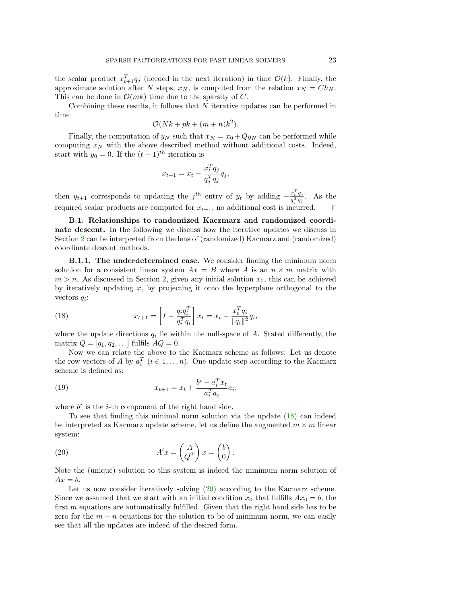the scalar product  $x_{t+1}^T q_j$  (needed in the next iteration) in time  $\mathcal{O}(k)$ . Finally, the approximate solution after N steps,  $x_N$ , is computed from the relation  $x_N = Ch_N$ . This can be done in  $\mathcal{O}(mk)$  time due to the sparsity of C.

Combining these results, it follows that N iterative updates can be performed in time

$$
\mathcal{O}(Nk + pk + (m+n)k^2).
$$

Finally, the computation of  $y_N$  such that  $x_N = x_0 + Qy_N$  can be performed while computing  $x_N$  with the above described method without additional costs. Indeed, start with  $y_0 = 0$ . If the  $(t + 1)^{th}$  iteration is

$$
x_{t+1} = x_t - \frac{x_t^T q_j}{q_j^T q_j} q_j,
$$

then  $y_{t+1}$  corresponds to updating the j<sup>th</sup> entry of  $y_t$  by adding  $-\frac{x_t^T g_j}{gT_a}$  $\frac{x_t q_j}{q_j^T q_j}$ . As the required scalar products are computed for  $x_{t+1}$ , no additional cost is incurred.  $\Box$ 

B.1. Relationships to randomized Kaczmarz and randomized coordinate descent. In the following we discuss how the iterative updates we discuss in Section [2](#page-2-0) can be interpreted from the lens of (randomized) Kacmarz and (randomized) coordinate descent methods.

**B.1.1.** The underdetermined case. We consider finding the minimum norm solution for a consistent linear system  $Ax = B$  where A is an  $n \times m$  matrix with  $m > n$ . As discussed in Section [2,](#page-2-0) given any initial solution  $x<sub>0</sub>$ , this can be achieved by iteratively updating  $x$ , by projecting it onto the hyperplane orthogonal to the vectors  $q_i$ :

<span id="page-22-0"></span>(18) 
$$
x_{t+1} = \left[I - \frac{q_i q_i^T}{q_i^T q_i}\right] x_t = x_t - \frac{x_t^T q_i}{\|q_i\|^2} q_i,
$$

where the update directions  $q_i$  lie within the null-space of A. Stated differently, the matrix  $Q = [q_1, q_2, \ldots]$  fulfils  $AQ = 0$ .

Now we can relate the above to the Kacmarz scheme as follows: Let us denote the row vectors of A by  $a_i^T$   $(i \in 1, \ldots n)$ . One update step according to the Kacmarz scheme is defined as:

<span id="page-22-2"></span>(19) 
$$
x_{t+1} = x_t + \frac{b^i - a_i^T x_t}{a_i^T a_i} a_i,
$$

where  $b^i$  is the *i*-th component of the right hand side.

To see that finding this minimal norm solution via the update [\(18\)](#page-22-0) can indeed be interpreted as Kacmarz update scheme, let us define the augmented  $m \times m$  linear system:

<span id="page-22-1"></span>(20) 
$$
A'x = \begin{pmatrix} A \\ Q^T \end{pmatrix} x = \begin{pmatrix} b \\ 0 \end{pmatrix}.
$$

Note the (unique) solution to this system is indeed the minimum norm solution of  $Ax = b$ .

Let us now consider iteratively solving [\(20\)](#page-22-1) according to the Kacmarz scheme. Since we assumed that we start with an initial condition  $x_0$  that fulfills  $Ax_0 = b$ , the first m equations are automatically fulfilled. Given that the right hand side has to be zero for the  $m - n$  equations for the solution to be of minimum norm, we can easily see that all the updates are indeed of the desired form.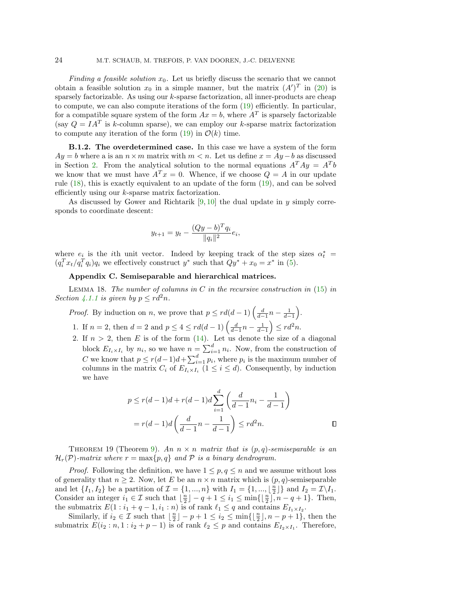Finding a feasible solution  $x_0$ . Let us briefly discuss the scenario that we cannot obtain a feasible solution  $x_0$  in a simple manner, but the matrix  $(A')^T$  in [\(20\)](#page-22-1) is sparsely factorizable. As using our  $k$ -sparse factorization, all inner-products are cheap to compute, we can also compute iterations of the form [\(19\)](#page-22-2) efficiently. In particular, for a compatible square system of the form  $Ax = b$ , where  $A<sup>T</sup>$  is sparsely factorizable (say  $Q = IA^T$  is k-column sparse), we can employ our k-sparse matrix factorization to compute any iteration of the form  $(19)$  in  $\mathcal{O}(k)$  time.

B.1.2. The overdetermined case. In this case we have a system of the form  $Ay = b$  where a is an  $n \times m$  matrix with  $m < n$ . Let us define  $x = Ay - b$  as discussed in Section [2.](#page-2-0) From the analytical solution to the normal equations  $A^T A y = A^T b$ we know that we must have  $A^T x = 0$ . Whence, if we choose  $Q = A$  in our update rule [\(18\)](#page-22-0), this is exactly equivalent to an update of the form [\(19\)](#page-22-2), and can be solved efficiently using our k-sparse matrix factorization.

As discussed by Gower and Richtarik  $[9, 10]$  $[9, 10]$  $[9, 10]$  the dual update in y simply corresponds to coordinate descent:

$$
y_{t+1} = y_t - \frac{(Qy - b)^T q_i}{\|q_i\|^2} e_i,
$$

where  $e_i$  is the *i*th unit vector. Indeed by keeping track of the step sizes  $\alpha_t^*$  =  $(q_i^T x_t/q_i^T q_i)q_i$  we effectively construct  $y^*$  such that  $Qy^* + x_0 = x^*$  in [\(5\)](#page-3-3).

# Appendix C. Semiseparable and hierarchical matrices.

LEMMA 18. The number of columns in C in the recursive construction in  $(15)$  in Section [4.1.1](#page-9-1) is given by  $p \leq rd^2n$ .

*Proof.* By induction on *n*, we prove that  $p \leq rd(d-1)\left(\frac{d}{d-1}n - \frac{1}{d-1}\right)$ .

- 1. If  $n = 2$ , then  $d = 2$  and  $p \leq 4 \leq rd(d-1)\left(\frac{d}{d-1}n \frac{1}{d-1}\right) \leq rd^2n$ .
- 2. If  $n > 2$ , then E is of the form [\(14\)](#page-10-1). Let us denote the size of a diagonal block  $E_{I_i \times I_i}$  by  $n_i$ , so we have  $n = \sum_{i=1}^d n_i$ . Now, from the construction of C we know that  $p \le r(d-1)d + \sum_{i=1}^d p_i$ , where  $p_i$  is the maximum number of columns in the matrix  $C_i$  of  $E_{I_i \times I_i}$   $(1 \leq i \leq d)$ . Consequently, by induction we have

$$
p \le r(d-1)d + r(d-1)d \sum_{i=1}^{d} \left( \frac{d}{d-1} n_i - \frac{1}{d-1} \right)
$$
  
=  $r(d-1)d \left( \frac{d}{d-1} n - \frac{1}{d-1} \right) \le rd^2 n.$ 

THEOREM 19 (Theorem [9\)](#page-12-2). An  $n \times n$  matrix that is  $(p,q)$ -semiseparable is an  $\mathcal{H}_r(\mathcal{P})$ -matrix where  $r = \max\{p, q\}$  and  $\mathcal P$  is a binary dendrogram.

*Proof.* Following the definition, we have  $1 \leq p, q \leq n$  and we assume without loss of generality that  $n \geq 2$ . Now, let E be an  $n \times n$  matrix which is  $(p, q)$ -semiseparable and let  $\{I_1, I_2\}$  be a partition of  $\mathcal{I} = \{1, ..., n\}$  with  $I_1 = \{1, ..., \lfloor \frac{n}{2} \rfloor\}$  and  $I_2 = \mathcal{I} \setminus I_1$ . Consider an integer  $i_1 \in \mathcal{I}$  such that  $\lfloor \frac{n}{2} \rfloor - q + 1 \leq i_1 \leq \min\{\lfloor \frac{n}{2} \rfloor, n - q + 1\}.$  Then, the submatrix  $E(1 : i_1 + q - 1, i_1 : n)$  is of rank  $\ell_1 \leq q$  and contains  $E_{I_1 \times I_2}$ .

Similarly, if  $i_2 \in \mathcal{I}$  such that  $\lfloor \frac{n}{2} \rfloor - p + 1 \leq i_2 \leq \min\{\lfloor \frac{n}{2} \rfloor, n - p + 1\}$ , then the submatrix  $E(i_2 : n, 1 : i_2 + p - 1)$  is of rank  $\ell_2 \leq p$  and contains  $E_{I_2 \times I_1}$ . Therefore,